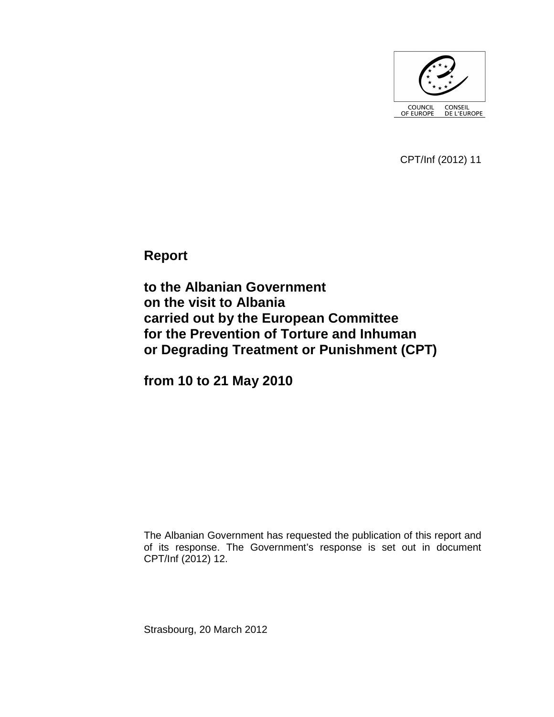

CPT/Inf (2012) 11

**Report** 

**to the Albanian Government on the visit to Albania carried out by the European Committee for the Prevention of Torture and Inhuman or Degrading Treatment or Punishment (CPT)** 

**from 10 to 21 May 2010** 

The Albanian Government has requested the publication of this report and of its response. The Government's response is set out in document CPT/Inf (2012) 12.

Strasbourg, 20 March 2012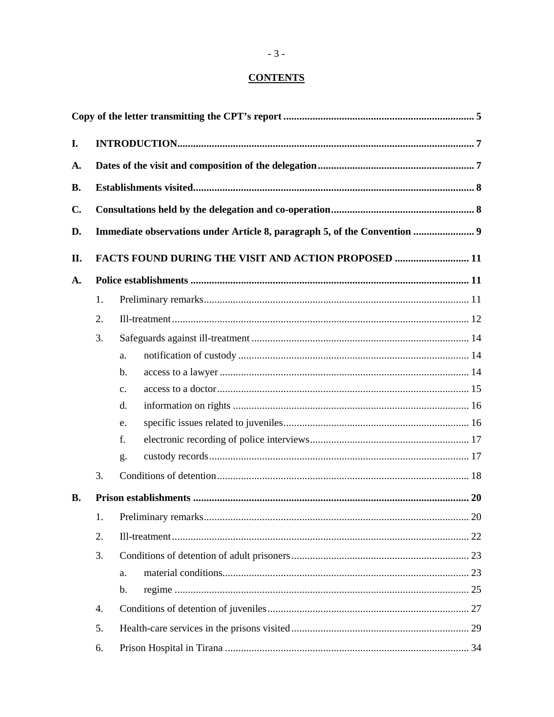# **CONTENTS**

| I.            |                                                                           |                |  |  |  |  |
|---------------|---------------------------------------------------------------------------|----------------|--|--|--|--|
| A.            |                                                                           |                |  |  |  |  |
| <b>B.</b>     |                                                                           |                |  |  |  |  |
| $C_{\bullet}$ |                                                                           |                |  |  |  |  |
|               |                                                                           |                |  |  |  |  |
| D.            | Immediate observations under Article 8, paragraph 5, of the Convention  9 |                |  |  |  |  |
| II.           | <b>FACTS FOUND DURING THE VISIT AND ACTION PROPOSED  11</b>               |                |  |  |  |  |
| A.            |                                                                           |                |  |  |  |  |
|               | 1.                                                                        |                |  |  |  |  |
|               | 2.                                                                        |                |  |  |  |  |
|               | 3.                                                                        |                |  |  |  |  |
|               |                                                                           | a.             |  |  |  |  |
|               |                                                                           | b.             |  |  |  |  |
|               |                                                                           | $\mathbf{c}$ . |  |  |  |  |
|               |                                                                           | d.             |  |  |  |  |
|               |                                                                           | e.             |  |  |  |  |
|               |                                                                           | f.             |  |  |  |  |
|               |                                                                           | g.             |  |  |  |  |
|               | 3.                                                                        |                |  |  |  |  |
| <b>B.</b>     |                                                                           |                |  |  |  |  |
|               | 1.                                                                        | 20             |  |  |  |  |
|               | 2.                                                                        |                |  |  |  |  |
|               | 3.                                                                        |                |  |  |  |  |
|               |                                                                           | a.             |  |  |  |  |
|               |                                                                           | $\mathbf b$ .  |  |  |  |  |
|               | 4.                                                                        |                |  |  |  |  |
|               | 5.                                                                        |                |  |  |  |  |
|               | 6.                                                                        |                |  |  |  |  |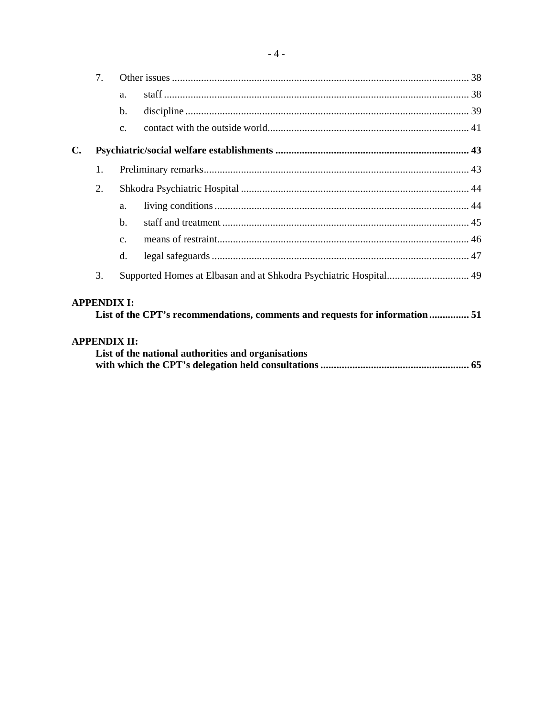|                | 7.                  |                |                                                                              |  |  |  |  |
|----------------|---------------------|----------------|------------------------------------------------------------------------------|--|--|--|--|
|                |                     | a.             |                                                                              |  |  |  |  |
|                |                     | b.             |                                                                              |  |  |  |  |
|                |                     | C <sub>1</sub> |                                                                              |  |  |  |  |
| $\mathbf{C}$ . |                     |                |                                                                              |  |  |  |  |
|                | 1.                  |                |                                                                              |  |  |  |  |
|                | 2.                  |                |                                                                              |  |  |  |  |
|                |                     | a.             |                                                                              |  |  |  |  |
|                |                     | $h_{\cdot}$    |                                                                              |  |  |  |  |
|                |                     | C <sub>1</sub> |                                                                              |  |  |  |  |
|                |                     | d.             |                                                                              |  |  |  |  |
|                | 3.                  |                |                                                                              |  |  |  |  |
|                | <b>APPENDIX I:</b>  |                | List of the CPT's recommendations, comments and requests for information  51 |  |  |  |  |
|                | <b>APPENDIX II:</b> |                |                                                                              |  |  |  |  |
|                |                     |                | List of the national authorities and organisations                           |  |  |  |  |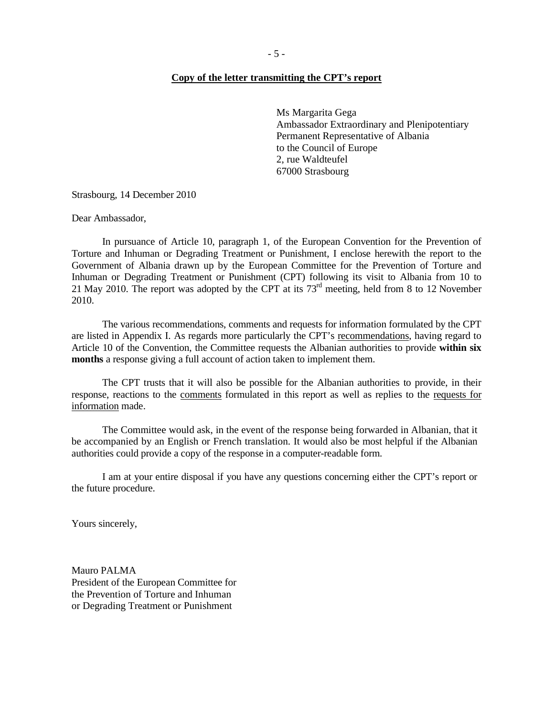#### **Copy of the letter transmitting the CPT's report**

Ms Margarita Gega Ambassador Extraordinary and Plenipotentiary Permanent Representative of Albania to the Council of Europe 2, rue Waldteufel 67000 Strasbourg

Strasbourg, 14 December 2010

Dear Ambassador,

 In pursuance of Article 10, paragraph 1, of the European Convention for the Prevention of Torture and Inhuman or Degrading Treatment or Punishment, I enclose herewith the report to the Government of Albania drawn up by the European Committee for the Prevention of Torture and Inhuman or Degrading Treatment or Punishment (CPT) following its visit to Albania from 10 to 21 May 2010. The report was adopted by the CPT at its  $73<sup>rd</sup>$  meeting, held from 8 to 12 November 2010.

 The various recommendations, comments and requests for information formulated by the CPT are listed in Appendix I. As regards more particularly the CPT's recommendations, having regard to Article 10 of the Convention, the Committee requests the Albanian authorities to provide **within six months** a response giving a full account of action taken to implement them.

 The CPT trusts that it will also be possible for the Albanian authorities to provide, in their response, reactions to the comments formulated in this report as well as replies to the requests for information made.

 The Committee would ask, in the event of the response being forwarded in Albanian, that it be accompanied by an English or French translation. It would also be most helpful if the Albanian authorities could provide a copy of the response in a computer-readable form.

 I am at your entire disposal if you have any questions concerning either the CPT's report or the future procedure.

Yours sincerely,

Mauro PALMA President of the European Committee for the Prevention of Torture and Inhuman or Degrading Treatment or Punishment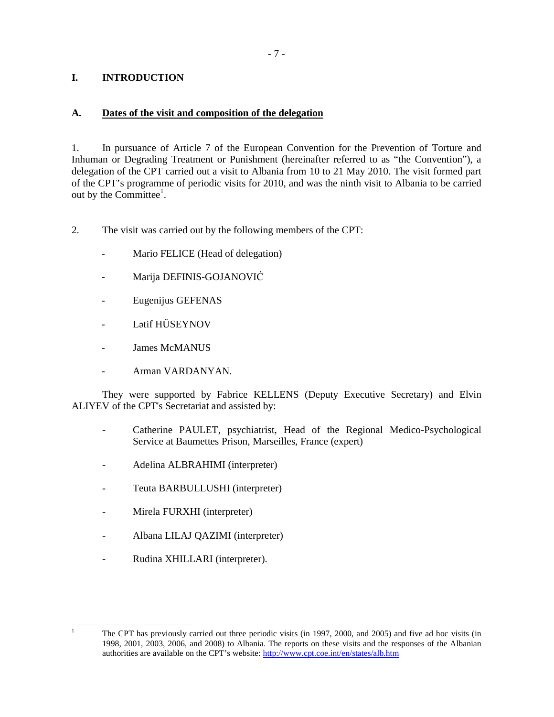## **I. INTRODUCTION**

### **A. Dates of the visit and composition of the delegation**

1. In pursuance of Article 7 of the European Convention for the Prevention of Torture and Inhuman or Degrading Treatment or Punishment (hereinafter referred to as "the Convention"), a delegation of the CPT carried out a visit to Albania from 10 to 21 May 2010. The visit formed part of the CPT's programme of periodic visits for 2010, and was the ninth visit to Albania to be carried out by the Committee<sup>1</sup>.

- 2. The visit was carried out by the following members of the CPT:
	- Mario FELICE (Head of delegation)
	- Marija DEFINIS-GOJANOVIĆ
	- Eugenijus GEFENAS
	- Lətif HÜSEYNOV
	- James McMANUS
	- Arman VARDANYAN.

They were supported by Fabrice KELLENS (Deputy Executive Secretary) and Elvin ALIYEV of the CPT's Secretariat and assisted by:

- Catherine PAULET, psychiatrist, Head of the Regional Medico-Psychological Service at Baumettes Prison, Marseilles, France (expert)
- Adelina ALBRAHIMI (interpreter)
- Teuta BARBULLUSHI (interpreter)
- Mirela FURXHI (interpreter)
- Albana LILAJ QAZIMI (interpreter)
- Rudina XHILLARI (interpreter).

 $\frac{1}{1}$ 

The CPT has previously carried out three periodic visits (in 1997, 2000, and 2005) and five ad hoc visits (in 1998, 2001, 2003, 2006, and 2008) to Albania. The reports on these visits and the responses of the Albanian authorities are available on the CPT's website: http://www.cpt.coe.int/en/states/alb.htm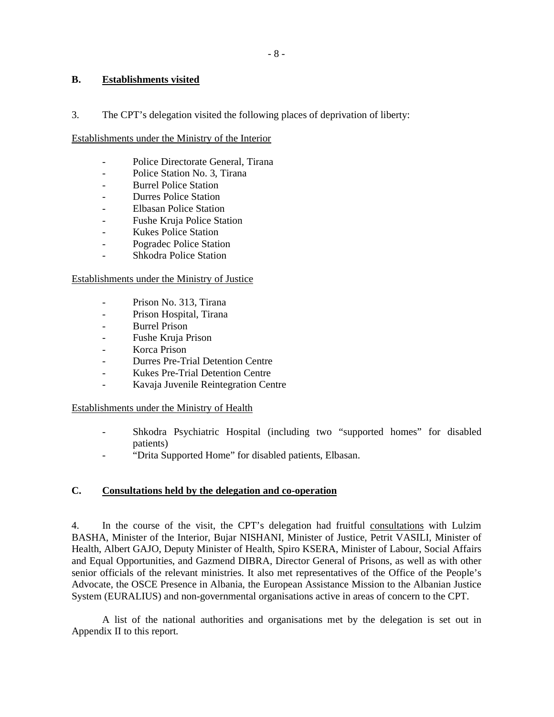# **B. Establishments visited**

3. The CPT's delegation visited the following places of deprivation of liberty:

## Establishments under the Ministry of the Interior

- Police Directorate General, Tirana
- Police Station No. 3, Tirana
- Burrel Police Station
- Durres Police Station
- Elbasan Police Station
- Fushe Kruja Police Station
- Kukes Police Station
- Pogradec Police Station
- Shkodra Police Station

# Establishments under the Ministry of Justice

- Prison No. 313, Tirana
- Prison Hospital, Tirana
- Burrel Prison
- Fushe Kruja Prison
- Korca Prison
- Durres Pre-Trial Detention Centre
- Kukes Pre-Trial Detention Centre
- Kavaja Juvenile Reintegration Centre

## Establishments under the Ministry of Health

- Shkodra Psychiatric Hospital (including two "supported homes" for disabled patients)
- "Drita Supported Home" for disabled patients, Elbasan.

# **C. Consultations held by the delegation and co-operation**

4. In the course of the visit, the CPT's delegation had fruitful consultations with Lulzim BASHA, Minister of the Interior, Bujar NISHANI, Minister of Justice, Petrit VASILI, Minister of Health, Albert GAJO, Deputy Minister of Health, Spiro KSERA, Minister of Labour, Social Affairs and Equal Opportunities, and Gazmend DIBRA, Director General of Prisons, as well as with other senior officials of the relevant ministries. It also met representatives of the Office of the People's Advocate, the OSCE Presence in Albania, the European Assistance Mission to the Albanian Justice System (EURALIUS) and non-governmental organisations active in areas of concern to the CPT.

 A list of the national authorities and organisations met by the delegation is set out in Appendix II to this report.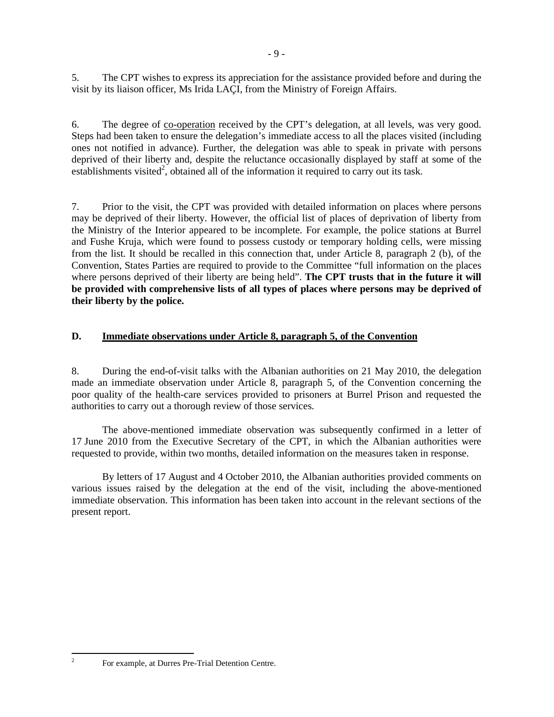5. The CPT wishes to express its appreciation for the assistance provided before and during the visit by its liaison officer, Ms Irida LAÇI, from the Ministry of Foreign Affairs.

6. The degree of co-operation received by the CPT's delegation, at all levels, was very good. Steps had been taken to ensure the delegation's immediate access to all the places visited (including ones not notified in advance). Further, the delegation was able to speak in private with persons deprived of their liberty and, despite the reluctance occasionally displayed by staff at some of the establishments visited<sup>2</sup>, obtained all of the information it required to carry out its task.

7. Prior to the visit, the CPT was provided with detailed information on places where persons may be deprived of their liberty. However, the official list of places of deprivation of liberty from the Ministry of the Interior appeared to be incomplete. For example, the police stations at Burrel and Fushe Kruja, which were found to possess custody or temporary holding cells, were missing from the list. It should be recalled in this connection that, under Article 8, paragraph 2 (b), of the Convention, States Parties are required to provide to the Committee "full information on the places where persons deprived of their liberty are being held". The CPT trusts that in the future it will **be provided with comprehensive lists of all types of places where persons may be deprived of their liberty by the police.**

## **D. Immediate observations under Article 8, paragraph 5, of the Convention**

8. During the end-of-visit talks with the Albanian authorities on 21 May 2010, the delegation made an immediate observation under Article 8, paragraph 5, of the Convention concerning the poor quality of the health-care services provided to prisoners at Burrel Prison and requested the authorities to carry out a thorough review of those services.

 The above-mentioned immediate observation was subsequently confirmed in a letter of 17 June 2010 from the Executive Secretary of the CPT, in which the Albanian authorities were requested to provide, within two months, detailed information on the measures taken in response.

By letters of 17 August and 4 October 2010, the Albanian authorities provided comments on various issues raised by the delegation at the end of the visit, including the above-mentioned immediate observation. This information has been taken into account in the relevant sections of the present report.

For example, at Durres Pre-Trial Detention Centre.

 $\frac{1}{2}$ 

- 9 -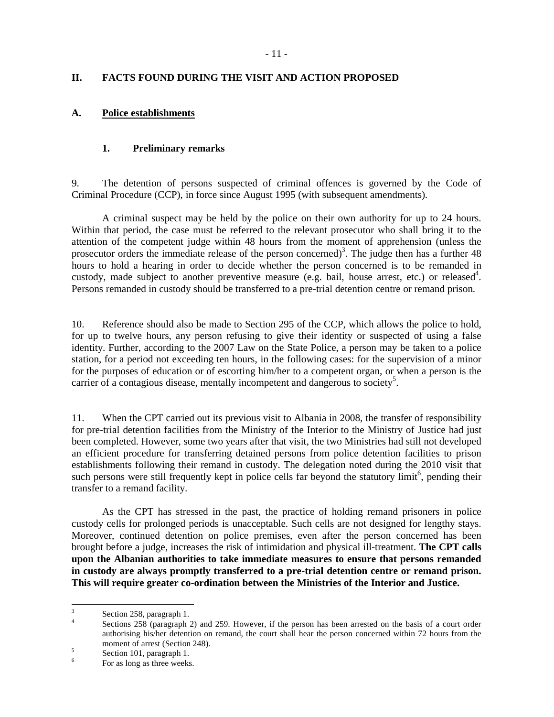## **II. FACTS FOUND DURING THE VISIT AND ACTION PROPOSED**

### **A. Police establishments**

### **1. Preliminary remarks**

9. The detention of persons suspected of criminal offences is governed by the Code of Criminal Procedure (CCP), in force since August 1995 (with subsequent amendments).

A criminal suspect may be held by the police on their own authority for up to 24 hours. Within that period, the case must be referred to the relevant prosecutor who shall bring it to the attention of the competent judge within 48 hours from the moment of apprehension (unless the prosecutor orders the immediate release of the person concerned)<sup>3</sup>. The judge then has a further  $48$ hours to hold a hearing in order to decide whether the person concerned is to be remanded in custody, made subject to another preventive measure (e.g. bail, house arrest, etc.) or released<sup>4</sup>. Persons remanded in custody should be transferred to a pre-trial detention centre or remand prison.

10. Reference should also be made to Section 295 of the CCP, which allows the police to hold, for up to twelve hours, any person refusing to give their identity or suspected of using a false identity. Further, according to the 2007 Law on the State Police, a person may be taken to a police station, for a period not exceeding ten hours, in the following cases: for the supervision of a minor for the purposes of education or of escorting him/her to a competent organ, or when a person is the carrier of a contagious disease, mentally incompetent and dangerous to society<sup>5</sup>.

11. When the CPT carried out its previous visit to Albania in 2008, the transfer of responsibility for pre-trial detention facilities from the Ministry of the Interior to the Ministry of Justice had just been completed. However, some two years after that visit, the two Ministries had still not developed an efficient procedure for transferring detained persons from police detention facilities to prison establishments following their remand in custody. The delegation noted during the 2010 visit that such persons were still frequently kept in police cells far beyond the statutory limit<sup>6</sup>, pending their transfer to a remand facility.

As the CPT has stressed in the past, the practice of holding remand prisoners in police custody cells for prolonged periods is unacceptable. Such cells are not designed for lengthy stays. Moreover, continued detention on police premises, even after the person concerned has been brought before a judge, increases the risk of intimidation and physical ill-treatment. **The CPT calls upon the Albanian authorities to take immediate measures to ensure that persons remanded in custody are always promptly transferred to a pre-trial detention centre or remand prison. This will require greater co-ordination between the Ministries of the Interior and Justice.**

<sup>&</sup>lt;sup>2</sup><br>3 Section 258, paragraph 1.

<sup>4</sup> Sections 258 (paragraph 2) and 259. However, if the person has been arrested on the basis of a court order authorising his/her detention on remand, the court shall hear the person concerned within 72 hours from the moment of arrest (Section 248).

<sup>5</sup> Section 101, paragraph 1.

<sup>6</sup> For as long as three weeks.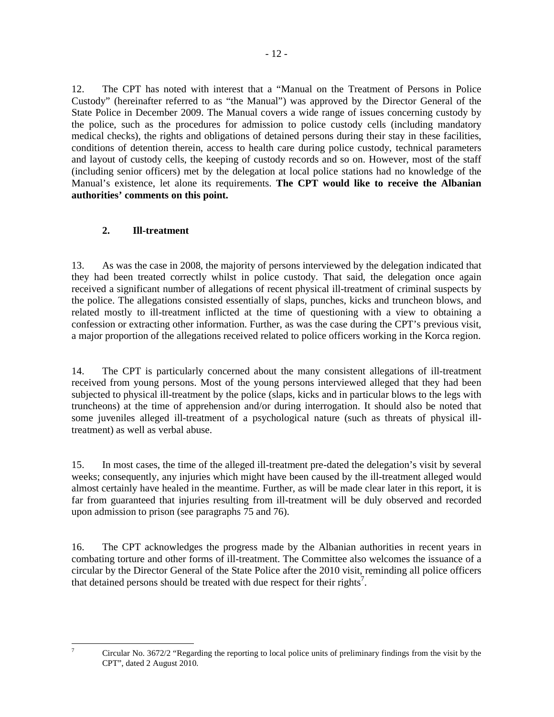12. The CPT has noted with interest that a "Manual on the Treatment of Persons in Police Custody" (hereinafter referred to as "the Manual") was approved by the Director General of the State Police in December 2009. The Manual covers a wide range of issues concerning custody by the police, such as the procedures for admission to police custody cells (including mandatory medical checks), the rights and obligations of detained persons during their stay in these facilities, conditions of detention therein, access to health care during police custody, technical parameters and layout of custody cells, the keeping of custody records and so on. However, most of the staff (including senior officers) met by the delegation at local police stations had no knowledge of the Manual's existence, let alone its requirements. **The CPT would like to receive the Albanian authorities' comments on this point.**

## **2. Ill-treatment**

-<br>7

13. As was the case in 2008, the majority of persons interviewed by the delegation indicated that they had been treated correctly whilst in police custody. That said, the delegation once again received a significant number of allegations of recent physical ill-treatment of criminal suspects by the police. The allegations consisted essentially of slaps, punches, kicks and truncheon blows, and related mostly to ill-treatment inflicted at the time of questioning with a view to obtaining a confession or extracting other information. Further, as was the case during the CPT's previous visit, a major proportion of the allegations received related to police officers working in the Korca region.

14. The CPT is particularly concerned about the many consistent allegations of ill-treatment received from young persons. Most of the young persons interviewed alleged that they had been subjected to physical ill-treatment by the police (slaps, kicks and in particular blows to the legs with truncheons) at the time of apprehension and/or during interrogation. It should also be noted that some juveniles alleged ill-treatment of a psychological nature (such as threats of physical illtreatment) as well as verbal abuse.

15. In most cases, the time of the alleged ill-treatment pre-dated the delegation's visit by several weeks; consequently, any injuries which might have been caused by the ill-treatment alleged would almost certainly have healed in the meantime. Further, as will be made clear later in this report, it is far from guaranteed that injuries resulting from ill-treatment will be duly observed and recorded upon admission to prison (see paragraphs 75 and 76).

16. The CPT acknowledges the progress made by the Albanian authorities in recent years in combating torture and other forms of ill-treatment. The Committee also welcomes the issuance of a circular by the Director General of the State Police after the 2010 visit, reminding all police officers that detained persons should be treated with due respect for their rights<sup>7</sup>.

Circular No. 3672/2 "Regarding the reporting to local police units of preliminary findings from the visit by the CPT", dated 2 August 2010.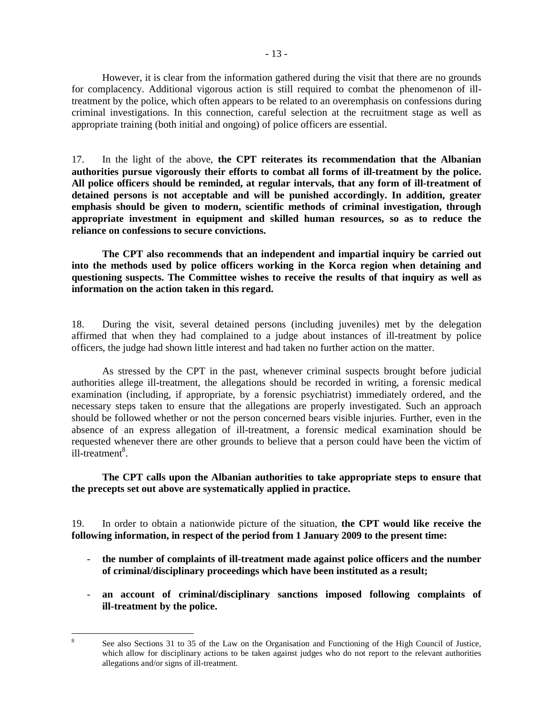However, it is clear from the information gathered during the visit that there are no grounds for complacency. Additional vigorous action is still required to combat the phenomenon of illtreatment by the police, which often appears to be related to an overemphasis on confessions during criminal investigations. In this connection, careful selection at the recruitment stage as well as appropriate training (both initial and ongoing) of police officers are essential.

17. In the light of the above, **the CPT reiterates its recommendation that the Albanian authorities pursue vigorously their efforts to combat all forms of ill-treatment by the police. All police officers should be reminded, at regular intervals, that any form of ill-treatment of detained persons is not acceptable and will be punished accordingly. In addition, greater emphasis should be given to modern, scientific methods of criminal investigation, through appropriate investment in equipment and skilled human resources, so as to reduce the reliance on confessions to secure convictions.**

**The CPT also recommends that an independent and impartial inquiry be carried out into the methods used by police officers working in the Korca region when detaining and questioning suspects. The Committee wishes to receive the results of that inquiry as well as information on the action taken in this regard.**

18. During the visit, several detained persons (including juveniles) met by the delegation affirmed that when they had complained to a judge about instances of ill-treatment by police officers, the judge had shown little interest and had taken no further action on the matter.

As stressed by the CPT in the past, whenever criminal suspects brought before judicial authorities allege ill-treatment, the allegations should be recorded in writing, a forensic medical examination (including, if appropriate, by a forensic psychiatrist) immediately ordered, and the necessary steps taken to ensure that the allegations are properly investigated. Such an approach should be followed whether or not the person concerned bears visible injuries. Further, even in the absence of an express allegation of ill-treatment, a forensic medical examination should be requested whenever there are other grounds to believe that a person could have been the victim of  $i$ ll-treatment<sup>8</sup>.

## **The CPT calls upon the Albanian authorities to take appropriate steps to ensure that the precepts set out above are systematically applied in practice.**

19. In order to obtain a nationwide picture of the situation, **the CPT would like receive the following information, in respect of the period from 1 January 2009 to the present time:** 

- **the number of complaints of ill-treatment made against police officers and the number of criminal/disciplinary proceedings which have been instituted as a result;**
- **an account of criminal/disciplinary sanctions imposed following complaints of ill-treatment by the police.**

 8 See also Sections 31 to 35 of the Law on the Organisation and Functioning of the High Council of Justice, which allow for disciplinary actions to be taken against judges who do not report to the relevant authorities allegations and/or signs of ill-treatment.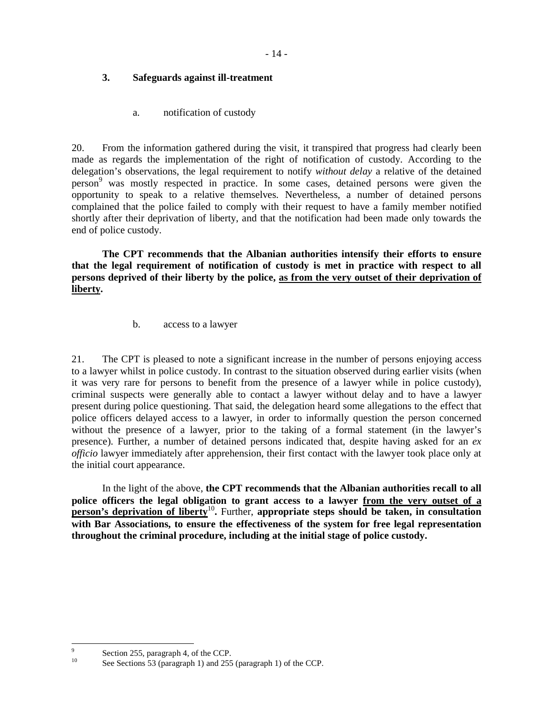## **3. Safeguards against ill-treatment**

a. notification of custody

20. From the information gathered during the visit, it transpired that progress had clearly been made as regards the implementation of the right of notification of custody. According to the delegation's observations, the legal requirement to notify *without delay* a relative of the detained person<sup>9</sup> was mostly respected in practice. In some cases, detained persons were given the opportunity to speak to a relative themselves. Nevertheless, a number of detained persons complained that the police failed to comply with their request to have a family member notified shortly after their deprivation of liberty, and that the notification had been made only towards the end of police custody.

**The CPT recommends that the Albanian authorities intensify their efforts to ensure that the legal requirement of notification of custody is met in practice with respect to all persons deprived of their liberty by the police, as from the very outset of their deprivation of liberty.**

b. access to a lawyer

21. The CPT is pleased to note a significant increase in the number of persons enjoying access to a lawyer whilst in police custody. In contrast to the situation observed during earlier visits (when it was very rare for persons to benefit from the presence of a lawyer while in police custody), criminal suspects were generally able to contact a lawyer without delay and to have a lawyer present during police questioning. That said, the delegation heard some allegations to the effect that police officers delayed access to a lawyer, in order to informally question the person concerned without the presence of a lawyer, prior to the taking of a formal statement (in the lawyer's presence). Further, a number of detained persons indicated that, despite having asked for an *ex officio* lawyer immediately after apprehension, their first contact with the lawyer took place only at the initial court appearance.

 In the light of the above, **the CPT recommends that the Albanian authorities recall to all police officers the legal obligation to grant access to a lawyer from the very outset of a person's deprivation of liberty**<sup>10</sup>. Further, appropriate steps should be taken, in consultation **with Bar Associations, to ensure the effectiveness of the system for free legal representation throughout the criminal procedure, including at the initial stage of police custody.**

<sup>-&</sup>lt;br>9  $\frac{9}{10}$  Section 255, paragraph 4, of the CCP.

See Sections 53 (paragraph 1) and 255 (paragraph 1) of the CCP.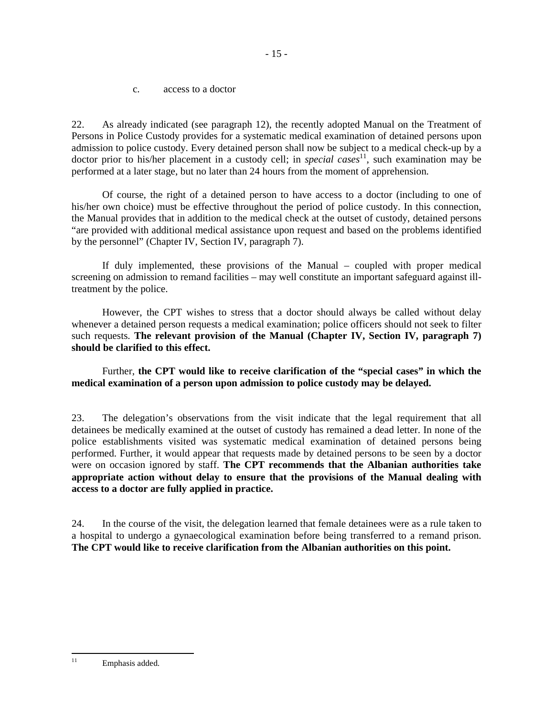c. access to a doctor

22. As already indicated (see paragraph 12), the recently adopted Manual on the Treatment of Persons in Police Custody provides for a systematic medical examination of detained persons upon admission to police custody. Every detained person shall now be subject to a medical check-up by a doctor prior to his/her placement in a custody cell; in *special cases*<sup>11</sup>, such examination may be performed at a later stage, but no later than 24 hours from the moment of apprehension.

 Of course, the right of a detained person to have access to a doctor (including to one of his/her own choice) must be effective throughout the period of police custody. In this connection, the Manual provides that in addition to the medical check at the outset of custody, detained persons "are provided with additional medical assistance upon request and based on the problems identified by the personnel" (Chapter IV, Section IV, paragraph 7).

 If duly implemented, these provisions of the Manual – coupled with proper medical screening on admission to remand facilities – may well constitute an important safeguard against illtreatment by the police.

 However, the CPT wishes to stress that a doctor should always be called without delay whenever a detained person requests a medical examination; police officers should not seek to filter such requests. **The relevant provision of the Manual (Chapter IV, Section IV, paragraph 7) should be clarified to this effect.**

 Further, **the CPT would like to receive clarification of the "special cases" in which the medical examination of a person upon admission to police custody may be delayed.** 

23. The delegation's observations from the visit indicate that the legal requirement that all detainees be medically examined at the outset of custody has remained a dead letter. In none of the police establishments visited was systematic medical examination of detained persons being performed. Further, it would appear that requests made by detained persons to be seen by a doctor were on occasion ignored by staff. **The CPT recommends that the Albanian authorities take appropriate action without delay to ensure that the provisions of the Manual dealing with access to a doctor are fully applied in practice.**

24. In the course of the visit, the delegation learned that female detainees were as a rule taken to a hospital to undergo a gynaecological examination before being transferred to a remand prison. **The CPT would like to receive clarification from the Albanian authorities on this point.** 

<sup>11</sup> Emphasis added.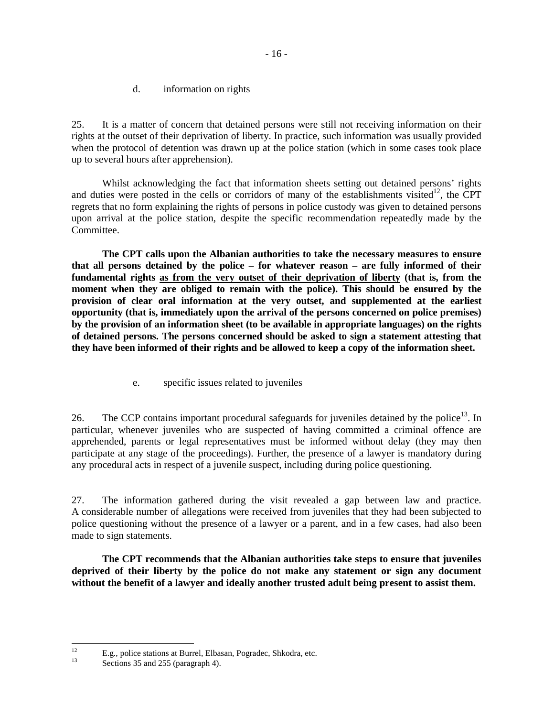d. information on rights

25. It is a matter of concern that detained persons were still not receiving information on their rights at the outset of their deprivation of liberty. In practice, such information was usually provided when the protocol of detention was drawn up at the police station (which in some cases took place up to several hours after apprehension).

Whilst acknowledging the fact that information sheets setting out detained persons' rights and duties were posted in the cells or corridors of many of the establishments visited<sup>12</sup>, the CPT regrets that no form explaining the rights of persons in police custody was given to detained persons upon arrival at the police station, despite the specific recommendation repeatedly made by the Committee.

**The CPT calls upon the Albanian authorities to take the necessary measures to ensure that all persons detained by the police – for whatever reason – are fully informed of their fundamental rights as from the very outset of their deprivation of liberty (that is, from the moment when they are obliged to remain with the police). This should be ensured by the provision of clear oral information at the very outset, and supplemented at the earliest opportunity (that is, immediately upon the arrival of the persons concerned on police premises) by the provision of an information sheet (to be available in appropriate languages) on the rights of detained persons. The persons concerned should be asked to sign a statement attesting that they have been informed of their rights and be allowed to keep a copy of the information sheet.**

e. specific issues related to juveniles

26. The CCP contains important procedural safeguards for juveniles detained by the police<sup>13</sup>. In particular, whenever juveniles who are suspected of having committed a criminal offence are apprehended, parents or legal representatives must be informed without delay (they may then participate at any stage of the proceedings). Further, the presence of a lawyer is mandatory during any procedural acts in respect of a juvenile suspect, including during police questioning.

27. The information gathered during the visit revealed a gap between law and practice. A considerable number of allegations were received from juveniles that they had been subjected to police questioning without the presence of a lawyer or a parent, and in a few cases, had also been made to sign statements.

**The CPT recommends that the Albanian authorities take steps to ensure that juveniles deprived of their liberty by the police do not make any statement or sign any document without the benefit of a lawyer and ideally another trusted adult being present to assist them.** 

 $12<sup>°</sup>$ <sup>12</sup> E.g., police stations at Burrel, Elbasan, Pogradec, Shkodra, etc.<br> $\frac{13}{25}$ 

Sections 35 and 255 (paragraph 4).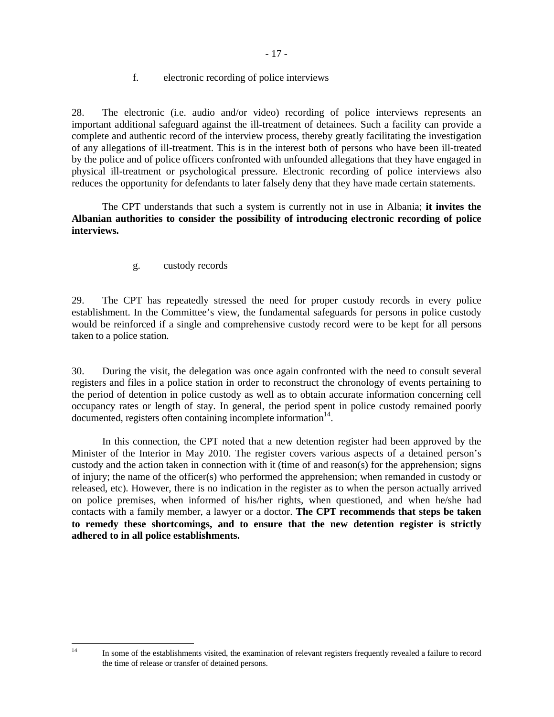f. electronic recording of police interviews

28. The electronic (i.e. audio and/or video) recording of police interviews represents an important additional safeguard against the ill-treatment of detainees. Such a facility can provide a complete and authentic record of the interview process, thereby greatly facilitating the investigation of any allegations of ill-treatment. This is in the interest both of persons who have been ill-treated by the police and of police officers confronted with unfounded allegations that they have engaged in physical ill-treatment or psychological pressure. Electronic recording of police interviews also reduces the opportunity for defendants to later falsely deny that they have made certain statements.

 The CPT understands that such a system is currently not in use in Albania; **it invites the Albanian authorities to consider the possibility of introducing electronic recording of police interviews.**

g. custody records

 $14$ 

29. The CPT has repeatedly stressed the need for proper custody records in every police establishment. In the Committee's view, the fundamental safeguards for persons in police custody would be reinforced if a single and comprehensive custody record were to be kept for all persons taken to a police station.

30. During the visit, the delegation was once again confronted with the need to consult several registers and files in a police station in order to reconstruct the chronology of events pertaining to the period of detention in police custody as well as to obtain accurate information concerning cell occupancy rates or length of stay. In general, the period spent in police custody remained poorly documented, registers often containing incomplete information<sup>14</sup>.

In this connection, the CPT noted that a new detention register had been approved by the Minister of the Interior in May 2010. The register covers various aspects of a detained person's custody and the action taken in connection with it (time of and reason(s) for the apprehension; signs of injury; the name of the officer(s) who performed the apprehension; when remanded in custody or released, etc). However, there is no indication in the register as to when the person actually arrived on police premises, when informed of his/her rights, when questioned, and when he/she had contacts with a family member, a lawyer or a doctor. **The CPT recommends that steps be taken to remedy these shortcomings, and to ensure that the new detention register is strictly adhered to in all police establishments.** 

<sup>14</sup> In some of the establishments visited, the examination of relevant registers frequently revealed a failure to record the time of release or transfer of detained persons.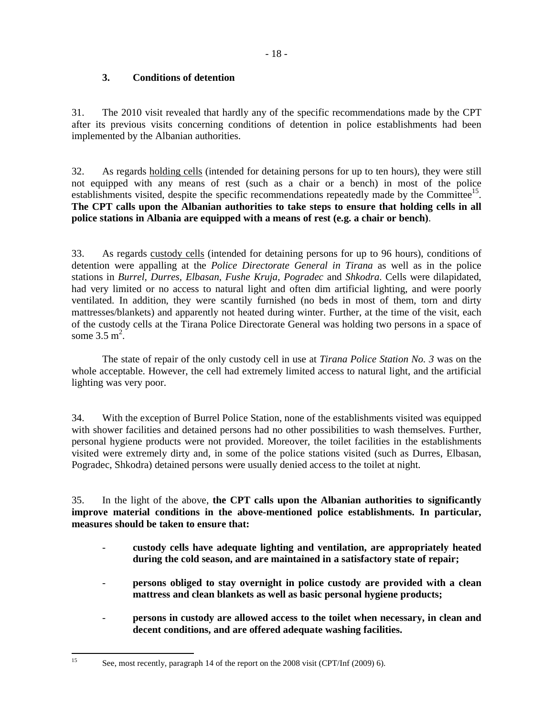## **3. Conditions of detention**

31. The 2010 visit revealed that hardly any of the specific recommendations made by the CPT after its previous visits concerning conditions of detention in police establishments had been implemented by the Albanian authorities.

32. As regards holding cells (intended for detaining persons for up to ten hours), they were still not equipped with any means of rest (such as a chair or a bench) in most of the police establishments visited, despite the specific recommendations repeatedly made by the Committee<sup>15</sup>. **The CPT calls upon the Albanian authorities to take steps to ensure that holding cells in all police stations in Albania are equipped with a means of rest (e.g. a chair or bench)**.

33. As regards custody cells (intended for detaining persons for up to 96 hours), conditions of detention were appalling at the *Police Directorate General in Tirana* as well as in the police stations in *Burrel, Durres, Elbasan, Fushe Kruja, Pogradec* and *Shkodra*. Cells were dilapidated, had very limited or no access to natural light and often dim artificial lighting, and were poorly ventilated. In addition, they were scantily furnished (no beds in most of them, torn and dirty mattresses/blankets) and apparently not heated during winter. Further, at the time of the visit, each of the custody cells at the Tirana Police Directorate General was holding two persons in a space of some  $3.5 \text{ m}^2$ .

 The state of repair of the only custody cell in use at *Tirana Police Station No. 3* was on the whole acceptable. However, the cell had extremely limited access to natural light, and the artificial lighting was very poor.

34. With the exception of Burrel Police Station, none of the establishments visited was equipped with shower facilities and detained persons had no other possibilities to wash themselves. Further, personal hygiene products were not provided. Moreover, the toilet facilities in the establishments visited were extremely dirty and, in some of the police stations visited (such as Durres, Elbasan, Pogradec, Shkodra) detained persons were usually denied access to the toilet at night.

35. In the light of the above, **the CPT calls upon the Albanian authorities to significantly improve material conditions in the above-mentioned police establishments. In particular, measures should be taken to ensure that:**

- **custody cells have adequate lighting and ventilation, are appropriately heated during the cold season, and are maintained in a satisfactory state of repair;**
- **persons obliged to stay overnight in police custody are provided with a clean mattress and clean blankets as well as basic personal hygiene products;**
- **persons in custody are allowed access to the toilet when necessary, in clean and decent conditions, and are offered adequate washing facilities.**

See, most recently, paragraph 14 of the report on the 2008 visit (CPT/Inf (2009) 6).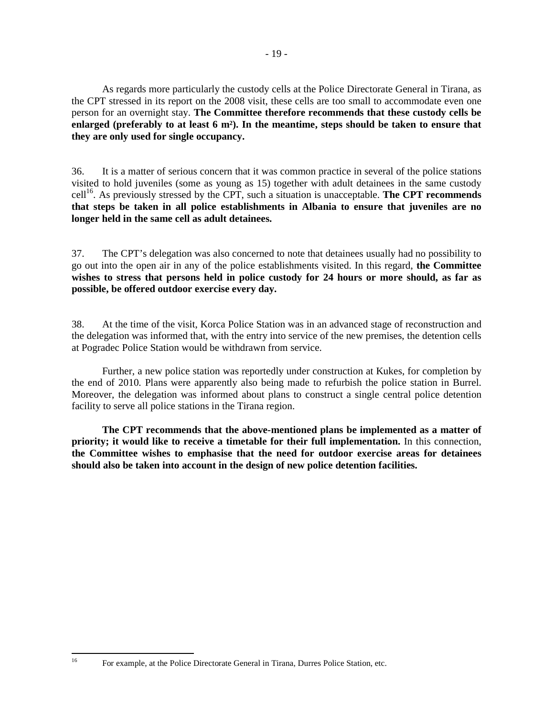As regards more particularly the custody cells at the Police Directorate General in Tirana, as the CPT stressed in its report on the 2008 visit, these cells are too small to accommodate even one person for an overnight stay. **The Committee therefore recommends that these custody cells be enlarged (preferably to at least 6 m²). In the meantime, steps should be taken to ensure that they are only used for single occupancy.** 

36. It is a matter of serious concern that it was common practice in several of the police stations visited to hold juveniles (some as young as 15) together with adult detainees in the same custody cell<sup>16</sup>. As previously stressed by the CPT, such a situation is unacceptable. **The CPT recommends that steps be taken in all police establishments in Albania to ensure that juveniles are no longer held in the same cell as adult detainees.** 

37. The CPT's delegation was also concerned to note that detainees usually had no possibility to go out into the open air in any of the police establishments visited. In this regard, **the Committee wishes to stress that persons held in police custody for 24 hours or more should, as far as possible, be offered outdoor exercise every day.**

38. At the time of the visit, Korca Police Station was in an advanced stage of reconstruction and the delegation was informed that, with the entry into service of the new premises, the detention cells at Pogradec Police Station would be withdrawn from service.

Further, a new police station was reportedly under construction at Kukes, for completion by the end of 2010. Plans were apparently also being made to refurbish the police station in Burrel. Moreover, the delegation was informed about plans to construct a single central police detention facility to serve all police stations in the Tirana region.

**The CPT recommends that the above-mentioned plans be implemented as a matter of priority; it would like to receive a timetable for their full implementation.** In this connection, **the Committee wishes to emphasise that the need for outdoor exercise areas for detainees should also be taken into account in the design of new police detention facilities.** 

<sup>16</sup> For example, at the Police Directorate General in Tirana, Durres Police Station, etc.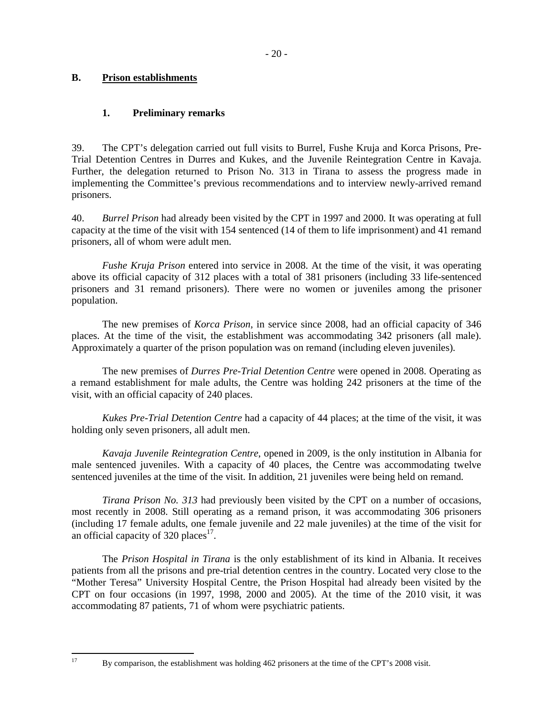## **B. Prison establishments**

## **1. Preliminary remarks**

39. The CPT's delegation carried out full visits to Burrel, Fushe Kruja and Korca Prisons, Pre-Trial Detention Centres in Durres and Kukes, and the Juvenile Reintegration Centre in Kavaja. Further, the delegation returned to Prison No. 313 in Tirana to assess the progress made in implementing the Committee's previous recommendations and to interview newly-arrived remand prisoners.

40. *Burrel Prison* had already been visited by the CPT in 1997 and 2000. It was operating at full capacity at the time of the visit with 154 sentenced (14 of them to life imprisonment) and 41 remand prisoners, all of whom were adult men.

*Fushe Kruja Prison* entered into service in 2008. At the time of the visit, it was operating above its official capacity of 312 places with a total of 381 prisoners (including 33 life-sentenced prisoners and 31 remand prisoners). There were no women or juveniles among the prisoner population.

The new premises of *Korca Prison*, in service since 2008, had an official capacity of 346 places. At the time of the visit, the establishment was accommodating 342 prisoners (all male). Approximately a quarter of the prison population was on remand (including eleven juveniles).

The new premises of *Durres Pre-Trial Detention Centre* were opened in 2008. Operating as a remand establishment for male adults, the Centre was holding 242 prisoners at the time of the visit, with an official capacity of 240 places.

*Kukes Pre-Trial Detention Centre* had a capacity of 44 places; at the time of the visit, it was holding only seven prisoners, all adult men.

*Kavaja Juvenile Reintegration Centre*, opened in 2009, is the only institution in Albania for male sentenced juveniles. With a capacity of 40 places, the Centre was accommodating twelve sentenced juveniles at the time of the visit. In addition, 21 juveniles were being held on remand.

*Tirana Prison No. 313* had previously been visited by the CPT on a number of occasions, most recently in 2008. Still operating as a remand prison, it was accommodating 306 prisoners (including 17 female adults, one female juvenile and 22 male juveniles) at the time of the visit for an official capacity of  $320$  places<sup>17</sup>.

The *Prison Hospital in Tirana* is the only establishment of its kind in Albania. It receives patients from all the prisons and pre-trial detention centres in the country. Located very close to the "Mother Teresa" University Hospital Centre, the Prison Hospital had already been visited by the CPT on four occasions (in 1997, 1998, 2000 and 2005). At the time of the 2010 visit, it was accommodating 87 patients, 71 of whom were psychiatric patients.

<sup>17</sup> By comparison, the establishment was holding 462 prisoners at the time of the CPT's 2008 visit.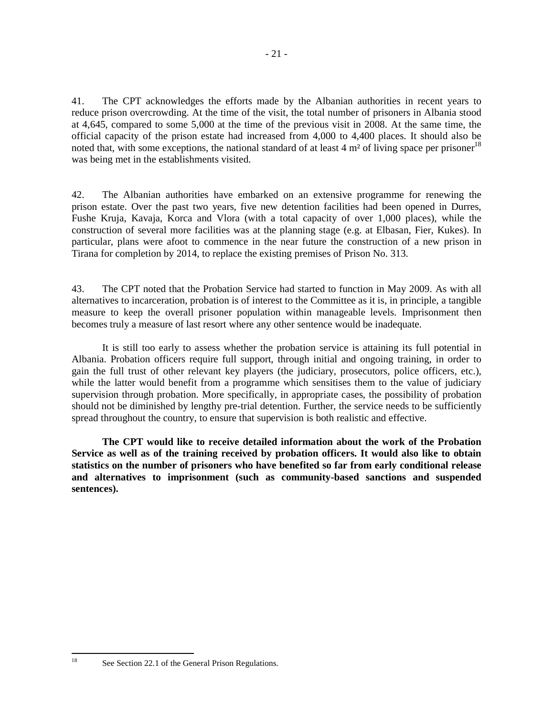41. The CPT acknowledges the efforts made by the Albanian authorities in recent years to reduce prison overcrowding. At the time of the visit, the total number of prisoners in Albania stood at 4,645, compared to some 5,000 at the time of the previous visit in 2008. At the same time, the official capacity of the prison estate had increased from 4,000 to 4,400 places. It should also be noted that, with some exceptions, the national standard of at least  $4 \text{ m}^2$  of living space per prisoner<sup>18</sup> was being met in the establishments visited.

42. The Albanian authorities have embarked on an extensive programme for renewing the prison estate. Over the past two years, five new detention facilities had been opened in Durres, Fushe Kruja, Kavaja, Korca and Vlora (with a total capacity of over 1,000 places), while the construction of several more facilities was at the planning stage (e.g. at Elbasan, Fier, Kukes). In particular, plans were afoot to commence in the near future the construction of a new prison in Tirana for completion by 2014, to replace the existing premises of Prison No. 313.

43. The CPT noted that the Probation Service had started to function in May 2009. As with all alternatives to incarceration, probation is of interest to the Committee as it is, in principle, a tangible measure to keep the overall prisoner population within manageable levels. Imprisonment then becomes truly a measure of last resort where any other sentence would be inadequate.

It is still too early to assess whether the probation service is attaining its full potential in Albania. Probation officers require full support, through initial and ongoing training, in order to gain the full trust of other relevant key players (the judiciary, prosecutors, police officers, etc.), while the latter would benefit from a programme which sensitises them to the value of judiciary supervision through probation. More specifically, in appropriate cases, the possibility of probation should not be diminished by lengthy pre-trial detention. Further, the service needs to be sufficiently spread throughout the country, to ensure that supervision is both realistic and effective.

**The CPT would like to receive detailed information about the work of the Probation Service as well as of the training received by probation officers. It would also like to obtain statistics on the number of prisoners who have benefited so far from early conditional release and alternatives to imprisonment (such as community-based sanctions and suspended sentences).** 

See Section 22.1 of the General Prison Regulations.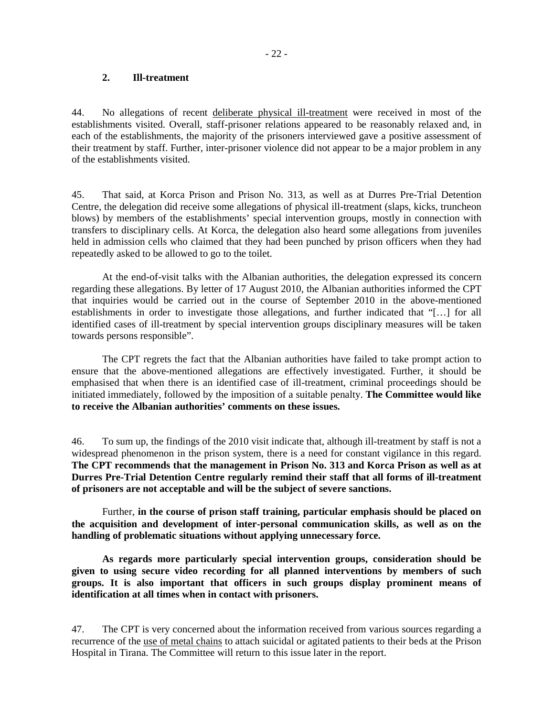#### **2. Ill-treatment**

44. No allegations of recent deliberate physical ill-treatment were received in most of the establishments visited. Overall, staff-prisoner relations appeared to be reasonably relaxed and, in each of the establishments, the majority of the prisoners interviewed gave a positive assessment of their treatment by staff. Further, inter-prisoner violence did not appear to be a major problem in any of the establishments visited.

45. That said, at Korca Prison and Prison No. 313, as well as at Durres Pre-Trial Detention Centre, the delegation did receive some allegations of physical ill-treatment (slaps, kicks, truncheon blows) by members of the establishments' special intervention groups, mostly in connection with transfers to disciplinary cells. At Korca, the delegation also heard some allegations from juveniles held in admission cells who claimed that they had been punched by prison officers when they had repeatedly asked to be allowed to go to the toilet.

At the end-of-visit talks with the Albanian authorities, the delegation expressed its concern regarding these allegations. By letter of 17 August 2010, the Albanian authorities informed the CPT that inquiries would be carried out in the course of September 2010 in the above-mentioned establishments in order to investigate those allegations, and further indicated that "[…] for all identified cases of ill-treatment by special intervention groups disciplinary measures will be taken towards persons responsible".

The CPT regrets the fact that the Albanian authorities have failed to take prompt action to ensure that the above-mentioned allegations are effectively investigated. Further, it should be emphasised that when there is an identified case of ill-treatment, criminal proceedings should be initiated immediately, followed by the imposition of a suitable penalty. **The Committee would like to receive the Albanian authorities' comments on these issues.**

46. To sum up, the findings of the 2010 visit indicate that, although ill-treatment by staff is not a widespread phenomenon in the prison system, there is a need for constant vigilance in this regard. **The CPT recommends that the management in Prison No. 313 and Korca Prison as well as at Durres Pre-Trial Detention Centre regularly remind their staff that all forms of ill-treatment of prisoners are not acceptable and will be the subject of severe sanctions.** 

 Further, **in the course of prison staff training, particular emphasis should be placed on the acquisition and development of inter-personal communication skills, as well as on the handling of problematic situations without applying unnecessary force.** 

**As regards more particularly special intervention groups, consideration should be given to using secure video recording for all planned interventions by members of such groups. It is also important that officers in such groups display prominent means of identification at all times when in contact with prisoners.** 

47. The CPT is very concerned about the information received from various sources regarding a recurrence of the use of metal chains to attach suicidal or agitated patients to their beds at the Prison Hospital in Tirana. The Committee will return to this issue later in the report.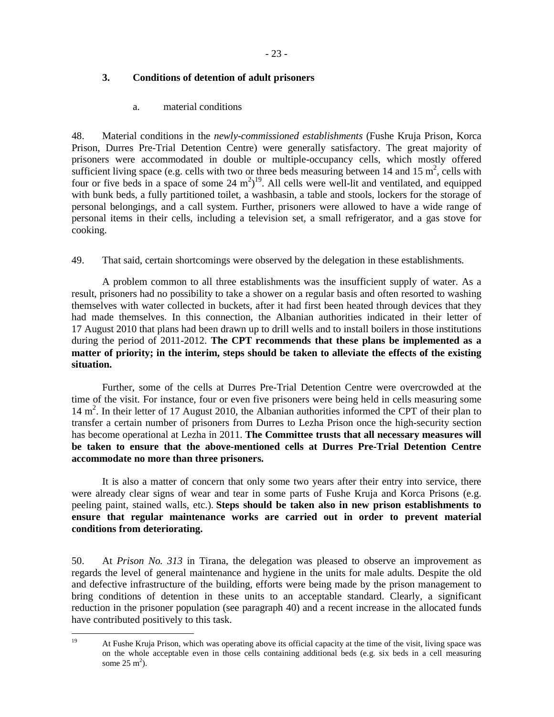## **3. Conditions of detention of adult prisoners**

a. material conditions

48. Material conditions in the *newly-commissioned establishments* (Fushe Kruja Prison, Korca Prison, Durres Pre-Trial Detention Centre) were generally satisfactory. The great majority of prisoners were accommodated in double or multiple-occupancy cells, which mostly offered sufficient living space (e.g. cells with two or three beds measuring between 14 and 15  $m^2$ , cells with four or five beds in a space of some  $24 \text{ m}^2$ <sup>19</sup>. All cells were well-lit and ventilated, and equipped with bunk beds, a fully partitioned toilet, a washbasin, a table and stools, lockers for the storage of personal belongings, and a call system. Further, prisoners were allowed to have a wide range of personal items in their cells, including a television set, a small refrigerator, and a gas stove for cooking.

49. That said, certain shortcomings were observed by the delegation in these establishments.

A problem common to all three establishments was the insufficient supply of water. As a result, prisoners had no possibility to take a shower on a regular basis and often resorted to washing themselves with water collected in buckets, after it had first been heated through devices that they had made themselves. In this connection, the Albanian authorities indicated in their letter of 17 August 2010 that plans had been drawn up to drill wells and to install boilers in those institutions during the period of 2011-2012. **The CPT recommends that these plans be implemented as a matter of priority; in the interim, steps should be taken to alleviate the effects of the existing situation.** 

 Further, some of the cells at Durres Pre-Trial Detention Centre were overcrowded at the time of the visit. For instance, four or even five prisoners were being held in cells measuring some 14 m<sup>2</sup>. In their letter of 17 August 2010, the Albanian authorities informed the CPT of their plan to transfer a certain number of prisoners from Durres to Lezha Prison once the high-security section has become operational at Lezha in 2011. **The Committee trusts that all necessary measures will be taken to ensure that the above-mentioned cells at Durres Pre-Trial Detention Centre accommodate no more than three prisoners.**

It is also a matter of concern that only some two years after their entry into service, there were already clear signs of wear and tear in some parts of Fushe Kruja and Korca Prisons (e.g. peeling paint, stained walls, etc.). **Steps should be taken also in new prison establishments to ensure that regular maintenance works are carried out in order to prevent material conditions from deteriorating.** 

50. At *Prison No. 313* in Tirana, the delegation was pleased to observe an improvement as regards the level of general maintenance and hygiene in the units for male adults. Despite the old and defective infrastructure of the building, efforts were being made by the prison management to bring conditions of detention in these units to an acceptable standard. Clearly, a significant reduction in the prisoner population (see paragraph 40) and a recent increase in the allocated funds have contributed positively to this task.

<sup>19</sup> At Fushe Kruja Prison, which was operating above its official capacity at the time of the visit, living space was on the whole acceptable even in those cells containing additional beds (e.g. six beds in a cell measuring some  $25 \text{ m}^2$ ).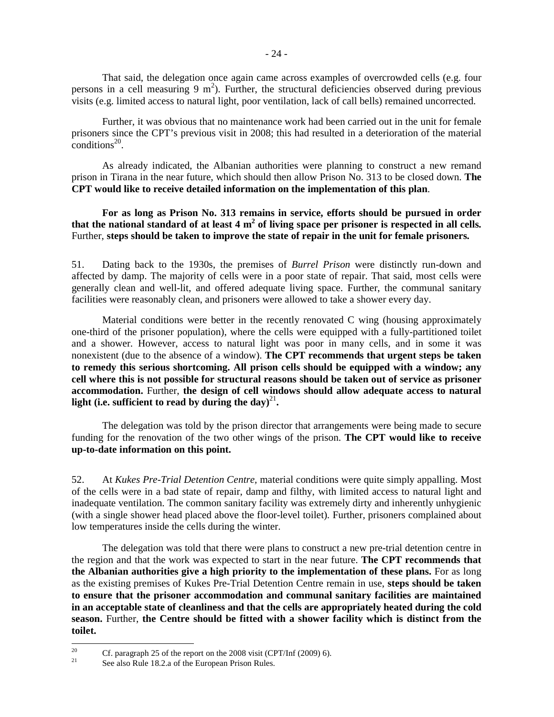That said, the delegation once again came across examples of overcrowded cells (e.g. four persons in a cell measuring  $9 \text{ m}^2$ ). Further, the structural deficiencies observed during previous visits (e.g. limited access to natural light, poor ventilation, lack of call bells) remained uncorrected.

 Further, it was obvious that no maintenance work had been carried out in the unit for female prisoners since the CPT's previous visit in 2008; this had resulted in a deterioration of the material  $\text{conditions}^{20}$ .

 As already indicated, the Albanian authorities were planning to construct a new remand prison in Tirana in the near future, which should then allow Prison No. 313 to be closed down. **The CPT would like to receive detailed information on the implementation of this plan**.

**For as long as Prison No. 313 remains in service, efforts should be pursued in order that the national standard of at least 4 m<sup>2</sup> of living space per prisoner is respected in all cells.**  Further, **steps should be taken to improve the state of repair in the unit for female prisoners.** 

51. Dating back to the 1930s, the premises of *Burrel Prison* were distinctly run-down and affected by damp. The majority of cells were in a poor state of repair. That said, most cells were generally clean and well-lit, and offered adequate living space. Further, the communal sanitary facilities were reasonably clean, and prisoners were allowed to take a shower every day.

 Material conditions were better in the recently renovated C wing (housing approximately one-third of the prisoner population), where the cells were equipped with a fully-partitioned toilet and a shower. However, access to natural light was poor in many cells, and in some it was nonexistent (due to the absence of a window). **The CPT recommends that urgent steps be taken to remedy this serious shortcoming. All prison cells should be equipped with a window; any cell where this is not possible for structural reasons should be taken out of service as prisoner accommodation.** Further, **the design of cell windows should allow adequate access to natural**  light (i.e. sufficient to read by during the day)<sup>21</sup>.

 The delegation was told by the prison director that arrangements were being made to secure funding for the renovation of the two other wings of the prison. **The CPT would like to receive up-to-date information on this point.** 

52. At *Kukes Pre-Trial Detention Centre,* material conditions were quite simply appalling. Most of the cells were in a bad state of repair, damp and filthy, with limited access to natural light and inadequate ventilation. The common sanitary facility was extremely dirty and inherently unhygienic (with a single shower head placed above the floor-level toilet). Further, prisoners complained about low temperatures inside the cells during the winter.

 The delegation was told that there were plans to construct a new pre-trial detention centre in the region and that the work was expected to start in the near future. **The CPT recommends that the Albanian authorities give a high priority to the implementation of these plans.** For as long as the existing premises of Kukes Pre-Trial Detention Centre remain in use, **steps should be taken to ensure that the prisoner accommodation and communal sanitary facilities are maintained in an acceptable state of cleanliness and that the cells are appropriately heated during the cold season.** Further, **the Centre should be fitted with a shower facility which is distinct from the toilet.** 

<sup>20</sup> <sup>20</sup> Cf. paragraph 25 of the report on the 2008 visit (CPT/Inf (2009) 6).

See also Rule 18.2.a of the European Prison Rules.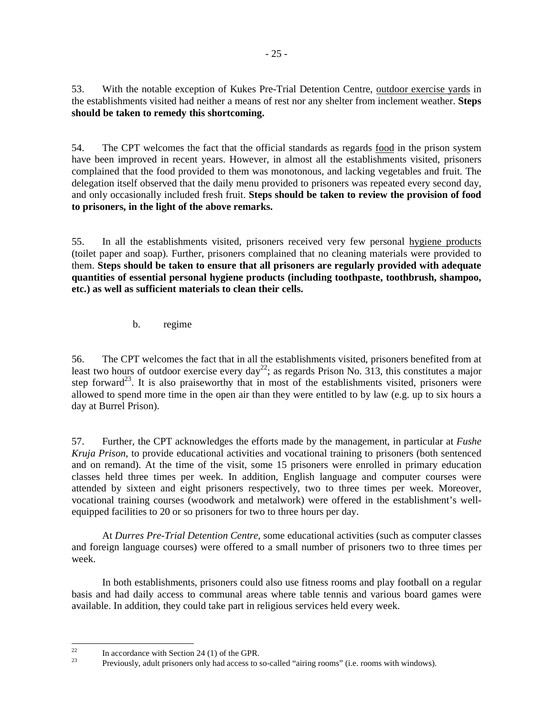53. With the notable exception of Kukes Pre-Trial Detention Centre, outdoor exercise yards in the establishments visited had neither a means of rest nor any shelter from inclement weather. **Steps should be taken to remedy this shortcoming.** 

54. The CPT welcomes the fact that the official standards as regards food in the prison system have been improved in recent years. However, in almost all the establishments visited, prisoners complained that the food provided to them was monotonous, and lacking vegetables and fruit. The delegation itself observed that the daily menu provided to prisoners was repeated every second day, and only occasionally included fresh fruit. **Steps should be taken to review the provision of food to prisoners, in the light of the above remarks.**

55. In all the establishments visited, prisoners received very few personal hygiene products (toilet paper and soap). Further, prisoners complained that no cleaning materials were provided to them. **Steps should be taken to ensure that all prisoners are regularly provided with adequate quantities of essential personal hygiene products (including toothpaste, toothbrush, shampoo, etc.) as well as sufficient materials to clean their cells.** 

b. regime

56. The CPT welcomes the fact that in all the establishments visited, prisoners benefited from at least two hours of outdoor exercise every day<sup>22</sup>; as regards Prison No. 313, this constitutes a major step forward<sup>23</sup>. It is also praiseworthy that in most of the establishments visited, prisoners were allowed to spend more time in the open air than they were entitled to by law (e.g. up to six hours a day at Burrel Prison).

57. Further, the CPT acknowledges the efforts made by the management, in particular at *Fushe Kruja Prison*, to provide educational activities and vocational training to prisoners (both sentenced and on remand). At the time of the visit, some 15 prisoners were enrolled in primary education classes held three times per week. In addition, English language and computer courses were attended by sixteen and eight prisoners respectively, two to three times per week. Moreover, vocational training courses (woodwork and metalwork) were offered in the establishment's wellequipped facilities to 20 or so prisoners for two to three hours per day.

At *Durres Pre-Trial Detention Centre*, some educational activities (such as computer classes and foreign language courses) were offered to a small number of prisoners two to three times per week.

 In both establishments, prisoners could also use fitness rooms and play football on a regular basis and had daily access to communal areas where table tennis and various board games were available. In addition, they could take part in religious services held every week.

 $22$ <sup>22</sup> In accordance with Section 24 (1) of the GPR.

<sup>23</sup> Previously, adult prisoners only had access to so-called "airing rooms" (i.e. rooms with windows).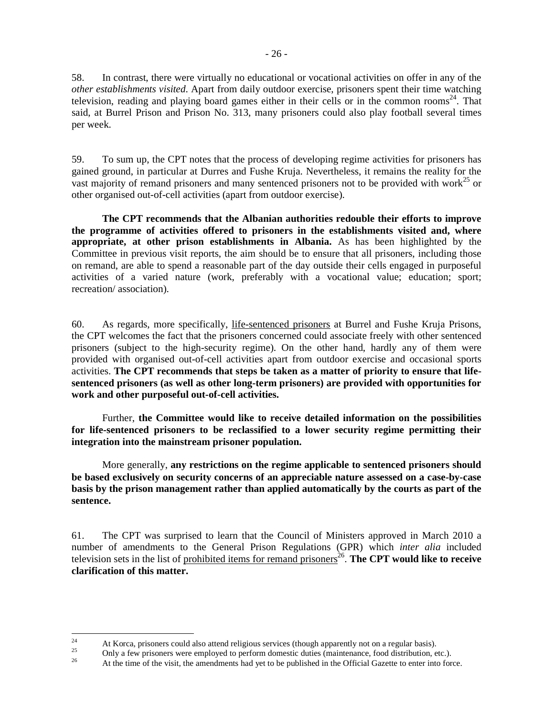58. In contrast, there were virtually no educational or vocational activities on offer in any of the *other establishments visited*. Apart from daily outdoor exercise, prisoners spent their time watching television, reading and playing board games either in their cells or in the common rooms<sup>24</sup>. That said, at Burrel Prison and Prison No. 313, many prisoners could also play football several times per week.

59. To sum up, the CPT notes that the process of developing regime activities for prisoners has gained ground, in particular at Durres and Fushe Kruja. Nevertheless, it remains the reality for the vast majority of remand prisoners and many sentenced prisoners not to be provided with work<sup>25</sup> or other organised out-of-cell activities (apart from outdoor exercise).

**The CPT recommends that the Albanian authorities redouble their efforts to improve the programme of activities offered to prisoners in the establishments visited and, where appropriate, at other prison establishments in Albania.** As has been highlighted by the Committee in previous visit reports, the aim should be to ensure that all prisoners, including those on remand, are able to spend a reasonable part of the day outside their cells engaged in purposeful activities of a varied nature (work, preferably with a vocational value; education; sport; recreation/ association).

60. As regards, more specifically, life-sentenced prisoners at Burrel and Fushe Kruja Prisons, the CPT welcomes the fact that the prisoners concerned could associate freely with other sentenced prisoners (subject to the high-security regime). On the other hand, hardly any of them were provided with organised out-of-cell activities apart from outdoor exercise and occasional sports activities. **The CPT recommends that steps be taken as a matter of priority to ensure that lifesentenced prisoners (as well as other long-term prisoners) are provided with opportunities for work and other purposeful out-of-cell activities.** 

 Further, **the Committee would like to receive detailed information on the possibilities for life-sentenced prisoners to be reclassified to a lower security regime permitting their integration into the mainstream prisoner population.** 

More generally, **any restrictions on the regime applicable to sentenced prisoners should be based exclusively on security concerns of an appreciable nature assessed on a case-by-case basis by the prison management rather than applied automatically by the courts as part of the sentence.** 

61. The CPT was surprised to learn that the Council of Ministers approved in March 2010 a number of amendments to the General Prison Regulations (GPR) which *inter alia* included television sets in the list of prohibited items for remand prisoners<sup>26</sup>. The CPT would like to receive **clarification of this matter.** 

 $24$ 24 At Korca, prisoners could also attend religious services (though apparently not on a regular basis).<br> $25$  Only a four prisoners were employed to perform democia duties (mointanence, food distribution of

 $^{25}$  Only a few prisoners were employed to perform domestic duties (maintenance, food distribution, etc.).

<sup>26</sup> At the time of the visit, the amendments had yet to be published in the Official Gazette to enter into force.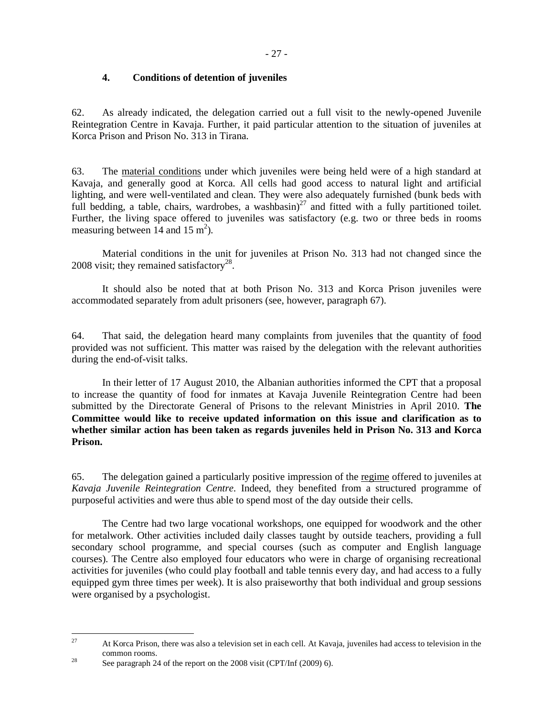## **4. Conditions of detention of juveniles**

62. As already indicated, the delegation carried out a full visit to the newly-opened Juvenile Reintegration Centre in Kavaja. Further, it paid particular attention to the situation of juveniles at Korca Prison and Prison No. 313 in Tirana.

63. The material conditions under which juveniles were being held were of a high standard at Kavaja, and generally good at Korca. All cells had good access to natural light and artificial lighting, and were well-ventilated and clean. They were also adequately furnished (bunk beds with full bedding, a table, chairs, wardrobes, a washbasin)<sup>27</sup> and fitted with a fully partitioned toilet. Further, the living space offered to juveniles was satisfactory (e.g. two or three beds in rooms measuring between  $14$  and  $15 \text{ m}^2$ ).

Material conditions in the unit for juveniles at Prison No. 313 had not changed since the 2008 visit; they remained satisfactory<sup>28</sup>.

 It should also be noted that at both Prison No. 313 and Korca Prison juveniles were accommodated separately from adult prisoners (see, however, paragraph 67).

64. That said, the delegation heard many complaints from juveniles that the quantity of food provided was not sufficient. This matter was raised by the delegation with the relevant authorities during the end-of-visit talks.

 In their letter of 17 August 2010, the Albanian authorities informed the CPT that a proposal to increase the quantity of food for inmates at Kavaja Juvenile Reintegration Centre had been submitted by the Directorate General of Prisons to the relevant Ministries in April 2010. **The Committee would like to receive updated information on this issue and clarification as to whether similar action has been taken as regards juveniles held in Prison No. 313 and Korca Prison.** 

65. The delegation gained a particularly positive impression of the regime offered to juveniles at *Kavaja Juvenile Reintegration Centre*. Indeed, they benefited from a structured programme of purposeful activities and were thus able to spend most of the day outside their cells.

The Centre had two large vocational workshops, one equipped for woodwork and the other for metalwork. Other activities included daily classes taught by outside teachers, providing a full secondary school programme, and special courses (such as computer and English language courses). The Centre also employed four educators who were in charge of organising recreational activities for juveniles (who could play football and table tennis every day, and had access to a fully equipped gym three times per week). It is also praiseworthy that both individual and group sessions were organised by a psychologist.

<sup>27</sup> <sup>27</sup> At Korca Prison, there was also a television set in each cell. At Kavaja, juveniles had access to television in the common rooms.

<sup>&</sup>lt;sup>28</sup> See paragraph 24 of the report on the 2008 visit (CPT/Inf (2009) 6).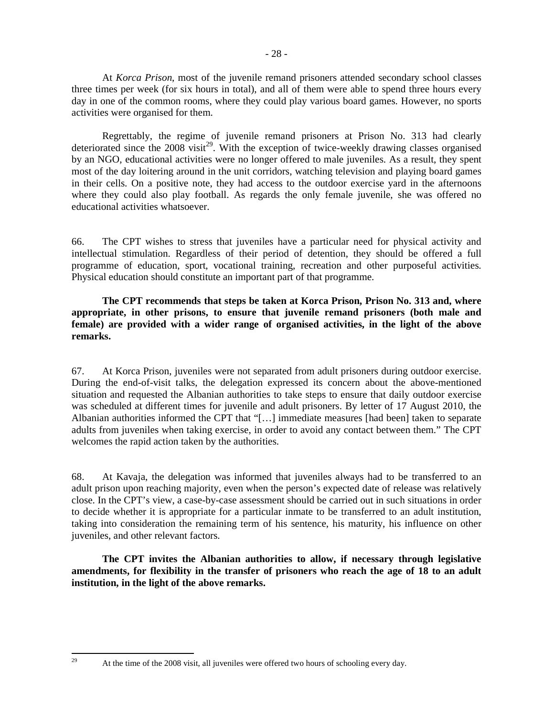At *Korca Prison*, most of the juvenile remand prisoners attended secondary school classes three times per week (for six hours in total), and all of them were able to spend three hours every day in one of the common rooms, where they could play various board games. However, no sports activities were organised for them.

 Regrettably, the regime of juvenile remand prisoners at Prison No. 313 had clearly deteriorated since the  $2008$  visit<sup>29</sup>. With the exception of twice-weekly drawing classes organised by an NGO, educational activities were no longer offered to male juveniles. As a result, they spent most of the day loitering around in the unit corridors, watching television and playing board games in their cells. On a positive note, they had access to the outdoor exercise yard in the afternoons where they could also play football. As regards the only female juvenile, she was offered no educational activities whatsoever.

66. The CPT wishes to stress that juveniles have a particular need for physical activity and intellectual stimulation. Regardless of their period of detention, they should be offered a full programme of education, sport, vocational training, recreation and other purposeful activities. Physical education should constitute an important part of that programme.

**The CPT recommends that steps be taken at Korca Prison, Prison No. 313 and, where appropriate, in other prisons, to ensure that juvenile remand prisoners (both male and female) are provided with a wider range of organised activities, in the light of the above remarks.** 

67. At Korca Prison, juveniles were not separated from adult prisoners during outdoor exercise. During the end-of-visit talks, the delegation expressed its concern about the above-mentioned situation and requested the Albanian authorities to take steps to ensure that daily outdoor exercise was scheduled at different times for juvenile and adult prisoners. By letter of 17 August 2010, the Albanian authorities informed the CPT that "[…] immediate measures [had been] taken to separate adults from juveniles when taking exercise, in order to avoid any contact between them." The CPT welcomes the rapid action taken by the authorities.

68. At Kavaja, the delegation was informed that juveniles always had to be transferred to an adult prison upon reaching majority, even when the person's expected date of release was relatively close. In the CPT's view, a case-by-case assessment should be carried out in such situations in order to decide whether it is appropriate for a particular inmate to be transferred to an adult institution, taking into consideration the remaining term of his sentence, his maturity, his influence on other juveniles, and other relevant factors.

**The CPT invites the Albanian authorities to allow, if necessary through legislative amendments, for flexibility in the transfer of prisoners who reach the age of 18 to an adult institution, in the light of the above remarks.** 

At the time of the 2008 visit, all juveniles were offered two hours of schooling every day.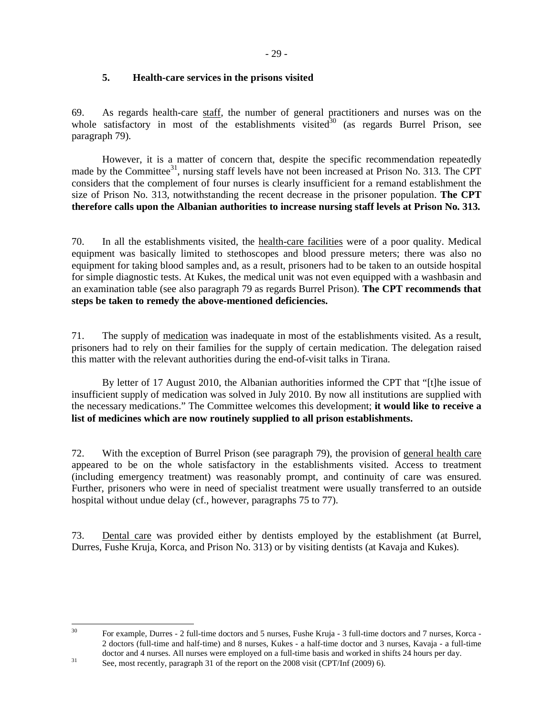## **5. Health-care services in the prisons visited**

69. As regards health-care staff, the number of general practitioners and nurses was on the whole satisfactory in most of the establishments visited<sup>30</sup> (as regards Burrel Prison, see paragraph 79).

However, it is a matter of concern that, despite the specific recommendation repeatedly made by the Committee<sup>31</sup>, nursing staff levels have not been increased at Prison No. 313. The CPT considers that the complement of four nurses is clearly insufficient for a remand establishment the size of Prison No. 313, notwithstanding the recent decrease in the prisoner population. **The CPT therefore calls upon the Albanian authorities to increase nursing staff levels at Prison No. 313.**

70. In all the establishments visited, the health-care facilities were of a poor quality. Medical equipment was basically limited to stethoscopes and blood pressure meters; there was also no equipment for taking blood samples and, as a result, prisoners had to be taken to an outside hospital for simple diagnostic tests. At Kukes, the medical unit was not even equipped with a washbasin and an examination table (see also paragraph 79 as regards Burrel Prison). **The CPT recommends that steps be taken to remedy the above-mentioned deficiencies.** 

71. The supply of medication was inadequate in most of the establishments visited. As a result, prisoners had to rely on their families for the supply of certain medication. The delegation raised this matter with the relevant authorities during the end-of-visit talks in Tirana.

 By letter of 17 August 2010, the Albanian authorities informed the CPT that "[t]he issue of insufficient supply of medication was solved in July 2010. By now all institutions are supplied with the necessary medications." The Committee welcomes this development; **it would like to receive a list of medicines which are now routinely supplied to all prison establishments.**

72. With the exception of Burrel Prison (see paragraph 79), the provision of general health care appeared to be on the whole satisfactory in the establishments visited. Access to treatment (including emergency treatment) was reasonably prompt, and continuity of care was ensured. Further, prisoners who were in need of specialist treatment were usually transferred to an outside hospital without undue delay (cf., however, paragraphs 75 to 77).

73. Dental care was provided either by dentists employed by the establishment (at Burrel, Durres, Fushe Kruja, Korca, and Prison No. 313) or by visiting dentists (at Kavaja and Kukes).

 $30<sup>2</sup>$ 

<sup>30</sup> For example, Durres - 2 full-time doctors and 5 nurses, Fushe Kruja - 3 full-time doctors and 7 nurses, Korca - 2 doctors (full-time and half-time) and 8 nurses, Kukes - a half-time doctor and 3 nurses, Kavaja - a full-time doctor and 4 nurses. All nurses were employed on a full-time basis and worked in shifts 24 hours per day.

<sup>&</sup>lt;sup>31</sup> See, most recently, paragraph 31 of the report on the 2008 visit (CPT/Inf (2009) 6).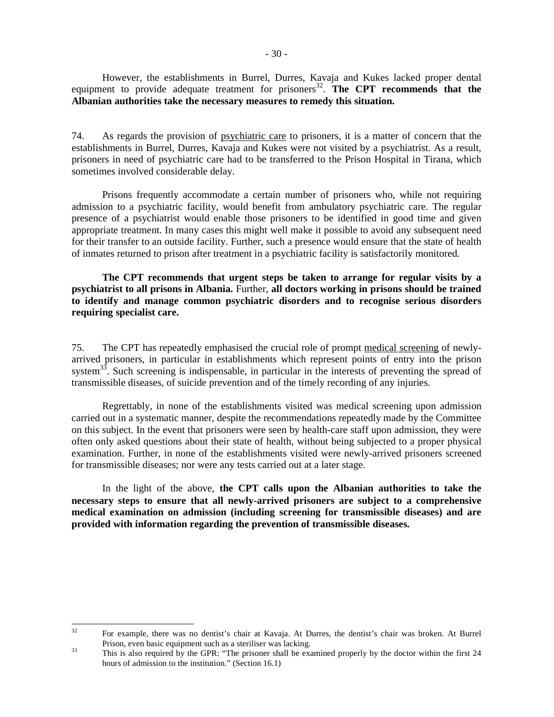**Albanian authorities take the necessary measures to remedy this situation.** 

74. As regards the provision of psychiatric care to prisoners, it is a matter of concern that the establishments in Burrel, Durres, Kavaja and Kukes were not visited by a psychiatrist. As a result, prisoners in need of psychiatric care had to be transferred to the Prison Hospital in Tirana, which sometimes involved considerable delay.

Prisons frequently accommodate a certain number of prisoners who, while not requiring admission to a psychiatric facility, would benefit from ambulatory psychiatric care. The regular presence of a psychiatrist would enable those prisoners to be identified in good time and given appropriate treatment. In many cases this might well make it possible to avoid any subsequent need for their transfer to an outside facility. Further, such a presence would ensure that the state of health of inmates returned to prison after treatment in a psychiatric facility is satisfactorily monitored.

**The CPT recommends that urgent steps be taken to arrange for regular visits by a psychiatrist to all prisons in Albania.** Further, **all doctors working in prisons should be trained to identify and manage common psychiatric disorders and to recognise serious disorders requiring specialist care.**

75. The CPT has repeatedly emphasised the crucial role of prompt medical screening of newlyarrived prisoners, in particular in establishments which represent points of entry into the prison system<sup>33</sup>. Such screening is indispensable, in particular in the interests of preventing the spread of transmissible diseases, of suicide prevention and of the timely recording of any injuries.

Regrettably, in none of the establishments visited was medical screening upon admission carried out in a systematic manner, despite the recommendations repeatedly made by the Committee on this subject. In the event that prisoners were seen by health-care staff upon admission, they were often only asked questions about their state of health, without being subjected to a proper physical examination. Further, in none of the establishments visited were newly-arrived prisoners screened for transmissible diseases; nor were any tests carried out at a later stage.

In the light of the above, **the CPT calls upon the Albanian authorities to take the necessary steps to ensure that all newly-arrived prisoners are subject to a comprehensive medical examination on admission (including screening for transmissible diseases) and are provided with information regarding the prevention of transmissible diseases.**

 $32$ <sup>32</sup> For example, there was no dentist's chair at Kavaja. At Durres, the dentist's chair was broken. At Burrel Prison, even basic equipment such as a steriliser was lacking.

<sup>&</sup>lt;sup>33</sup> This is also required by the GPR: "The prisoner shall be examined properly by the doctor within the first 24 hours of admission to the institution." (Section 16.1)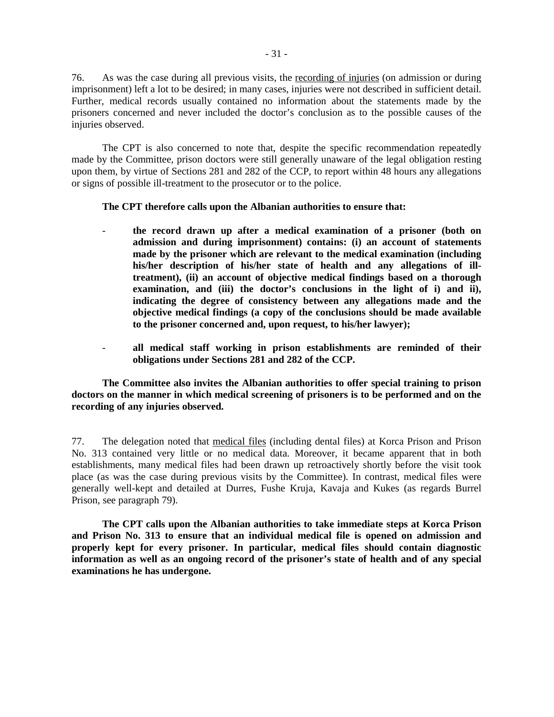76. As was the case during all previous visits, the recording of injuries (on admission or during imprisonment) left a lot to be desired; in many cases, injuries were not described in sufficient detail. Further, medical records usually contained no information about the statements made by the prisoners concerned and never included the doctor's conclusion as to the possible causes of the injuries observed.

The CPT is also concerned to note that, despite the specific recommendation repeatedly made by the Committee, prison doctors were still generally unaware of the legal obligation resting upon them, by virtue of Sections 281 and 282 of the CCP, to report within 48 hours any allegations or signs of possible ill-treatment to the prosecutor or to the police.

**The CPT therefore calls upon the Albanian authorities to ensure that:** 

- **the record drawn up after a medical examination of a prisoner (both on admission and during imprisonment) contains: (i) an account of statements made by the prisoner which are relevant to the medical examination (including his/her description of his/her state of health and any allegations of illtreatment), (ii) an account of objective medical findings based on a thorough examination, and (iii) the doctor's conclusions in the light of i) and ii), indicating the degree of consistency between any allegations made and the objective medical findings (a copy of the conclusions should be made available to the prisoner concerned and, upon request, to his/her lawyer);**
- **all medical staff working in prison establishments are reminded of their obligations under Sections 281 and 282 of the CCP.**

**The Committee also invites the Albanian authorities to offer special training to prison doctors on the manner in which medical screening of prisoners is to be performed and on the recording of any injuries observed.**

77. The delegation noted that medical files (including dental files) at Korca Prison and Prison No. 313 contained very little or no medical data. Moreover, it became apparent that in both establishments, many medical files had been drawn up retroactively shortly before the visit took place (as was the case during previous visits by the Committee). In contrast, medical files were generally well-kept and detailed at Durres, Fushe Kruja, Kavaja and Kukes (as regards Burrel Prison, see paragraph 79).

**The CPT calls upon the Albanian authorities to take immediate steps at Korca Prison and Prison No. 313 to ensure that an individual medical file is opened on admission and properly kept for every prisoner. In particular, medical files should contain diagnostic information as well as an ongoing record of the prisoner's state of health and of any special examinations he has undergone.**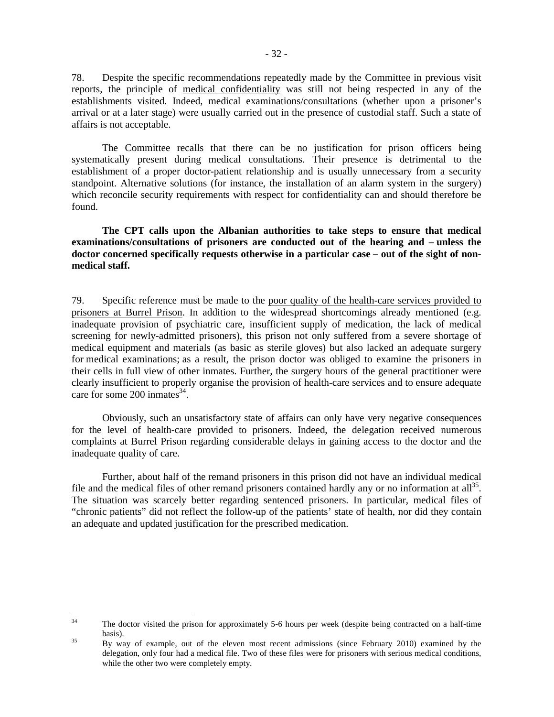78. Despite the specific recommendations repeatedly made by the Committee in previous visit reports, the principle of medical confidentiality was still not being respected in any of the establishments visited. Indeed, medical examinations/consultations (whether upon a prisoner's arrival or at a later stage) were usually carried out in the presence of custodial staff. Such a state of affairs is not acceptable.

The Committee recalls that there can be no justification for prison officers being systematically present during medical consultations. Their presence is detrimental to the establishment of a proper doctor-patient relationship and is usually unnecessary from a security standpoint. Alternative solutions (for instance, the installation of an alarm system in the surgery) which reconcile security requirements with respect for confidentiality can and should therefore be found.

**The CPT calls upon the Albanian authorities to take steps to ensure that medical examinations/consultations of prisoners are conducted out of the hearing and – unless the doctor concerned specifically requests otherwise in a particular case – out of the sight of nonmedical staff.**

79. Specific reference must be made to the poor quality of the health-care services provided to prisoners at Burrel Prison. In addition to the widespread shortcomings already mentioned (e.g. inadequate provision of psychiatric care, insufficient supply of medication, the lack of medical screening for newly-admitted prisoners), this prison not only suffered from a severe shortage of medical equipment and materials (as basic as sterile gloves) but also lacked an adequate surgery for medical examinations; as a result, the prison doctor was obliged to examine the prisoners in their cells in full view of other inmates. Further, the surgery hours of the general practitioner were clearly insufficient to properly organise the provision of health-care services and to ensure adequate care for some 200 inmates<sup>34</sup>.

Obviously, such an unsatisfactory state of affairs can only have very negative consequences for the level of health-care provided to prisoners. Indeed, the delegation received numerous complaints at Burrel Prison regarding considerable delays in gaining access to the doctor and the inadequate quality of care.

 Further, about half of the remand prisoners in this prison did not have an individual medical file and the medical files of other remand prisoners contained hardly any or no information at all<sup>35</sup>. The situation was scarcely better regarding sentenced prisoners. In particular, medical files of "chronic patients" did not reflect the follow-up of the patients' state of health, nor did they contain an adequate and updated justification for the prescribed medication.

 $34$ The doctor visited the prison for approximately 5-6 hours per week (despite being contracted on a half-time basis).

<sup>&</sup>lt;sup>35</sup> By way of example, out of the eleven most recent admissions (since February 2010) examined by the delegation, only four had a medical file. Two of these files were for prisoners with serious medical conditions, while the other two were completely empty.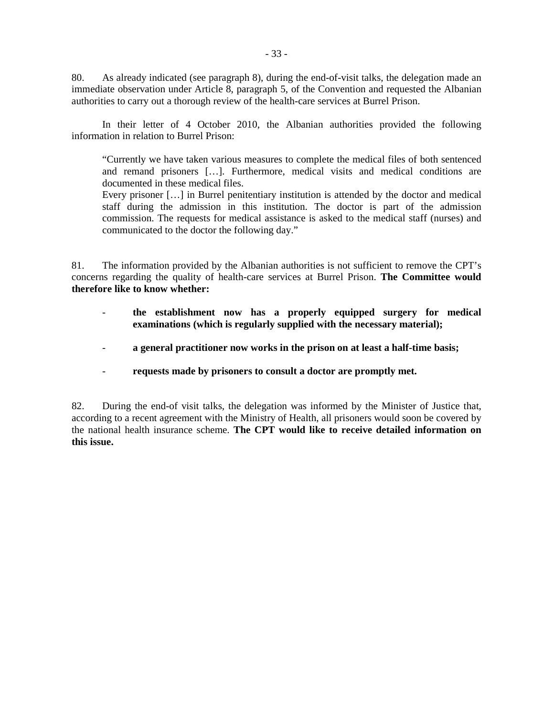80. As already indicated (see paragraph 8), during the end-of-visit talks, the delegation made an immediate observation under Article 8, paragraph 5, of the Convention and requested the Albanian authorities to carry out a thorough review of the health-care services at Burrel Prison.

In their letter of 4 October 2010, the Albanian authorities provided the following information in relation to Burrel Prison:

"Currently we have taken various measures to complete the medical files of both sentenced and remand prisoners […]. Furthermore, medical visits and medical conditions are documented in these medical files.

Every prisoner […] in Burrel penitentiary institution is attended by the doctor and medical staff during the admission in this institution. The doctor is part of the admission commission. The requests for medical assistance is asked to the medical staff (nurses) and communicated to the doctor the following day."

81. The information provided by the Albanian authorities is not sufficient to remove the CPT's concerns regarding the quality of health-care services at Burrel Prison. **The Committee would therefore like to know whether:** 

- **the establishment now has a properly equipped surgery for medical examinations (which is regularly supplied with the necessary material);**
- a general practitioner now works in the prison on at least a half-time basis;
- **requests made by prisoners to consult a doctor are promptly met.**

82. During the end-of visit talks, the delegation was informed by the Minister of Justice that, according to a recent agreement with the Ministry of Health, all prisoners would soon be covered by the national health insurance scheme. **The CPT would like to receive detailed information on this issue.**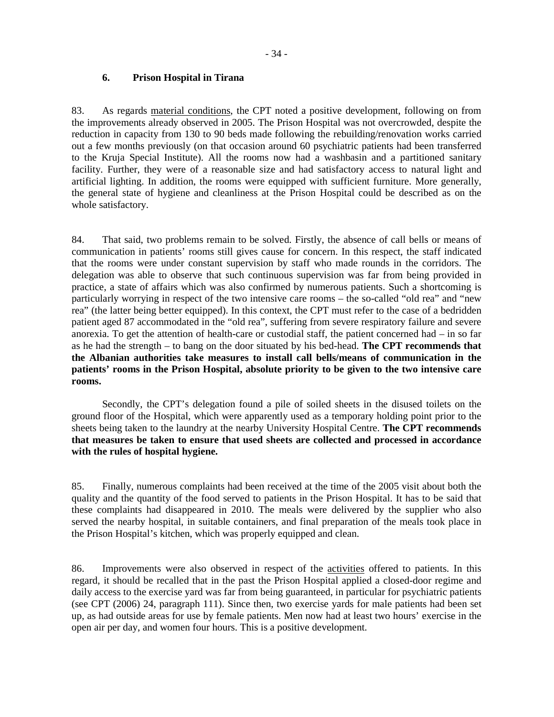### **6. Prison Hospital in Tirana**

83. As regards material conditions, the CPT noted a positive development, following on from the improvements already observed in 2005. The Prison Hospital was not overcrowded, despite the reduction in capacity from 130 to 90 beds made following the rebuilding/renovation works carried out a few months previously (on that occasion around 60 psychiatric patients had been transferred to the Kruja Special Institute). All the rooms now had a washbasin and a partitioned sanitary facility. Further, they were of a reasonable size and had satisfactory access to natural light and artificial lighting. In addition, the rooms were equipped with sufficient furniture. More generally, the general state of hygiene and cleanliness at the Prison Hospital could be described as on the whole satisfactory.

84. That said, two problems remain to be solved. Firstly, the absence of call bells or means of communication in patients' rooms still gives cause for concern. In this respect, the staff indicated that the rooms were under constant supervision by staff who made rounds in the corridors. The delegation was able to observe that such continuous supervision was far from being provided in practice, a state of affairs which was also confirmed by numerous patients. Such a shortcoming is particularly worrying in respect of the two intensive care rooms – the so-called "old rea" and "new rea" (the latter being better equipped). In this context, the CPT must refer to the case of a bedridden patient aged 87 accommodated in the "old rea", suffering from severe respiratory failure and severe anorexia. To get the attention of health-care or custodial staff, the patient concerned had – in so far as he had the strength – to bang on the door situated by his bed-head. **The CPT recommends that the Albanian authorities take measures to install call bells/means of communication in the patients' rooms in the Prison Hospital, absolute priority to be given to the two intensive care rooms.** 

 Secondly, the CPT's delegation found a pile of soiled sheets in the disused toilets on the ground floor of the Hospital, which were apparently used as a temporary holding point prior to the sheets being taken to the laundry at the nearby University Hospital Centre. **The CPT recommends that measures be taken to ensure that used sheets are collected and processed in accordance with the rules of hospital hygiene.**

85. Finally, numerous complaints had been received at the time of the 2005 visit about both the quality and the quantity of the food served to patients in the Prison Hospital. It has to be said that these complaints had disappeared in 2010. The meals were delivered by the supplier who also served the nearby hospital, in suitable containers, and final preparation of the meals took place in the Prison Hospital's kitchen, which was properly equipped and clean.

86. Improvements were also observed in respect of the activities offered to patients. In this regard, it should be recalled that in the past the Prison Hospital applied a closed-door regime and daily access to the exercise yard was far from being guaranteed, in particular for psychiatric patients (see CPT (2006) 24, paragraph 111). Since then, two exercise yards for male patients had been set up, as had outside areas for use by female patients. Men now had at least two hours' exercise in the open air per day, and women four hours. This is a positive development.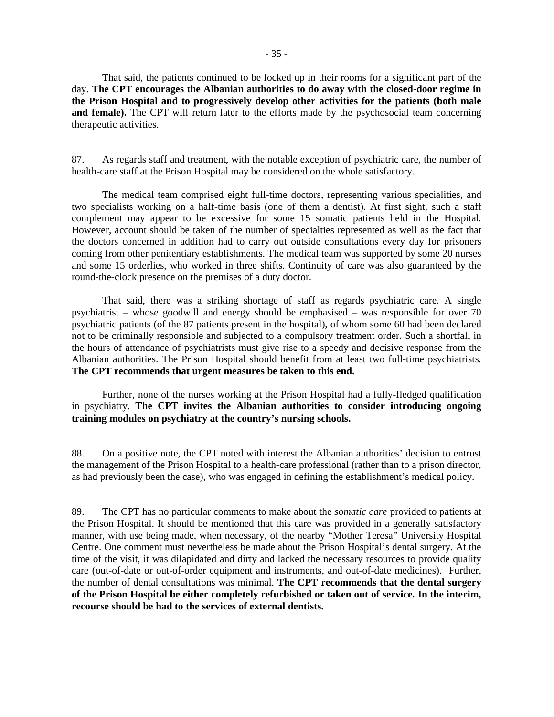That said, the patients continued to be locked up in their rooms for a significant part of the day. **The CPT encourages the Albanian authorities to do away with the closed-door regime in the Prison Hospital and to progressively develop other activities for the patients (both male and female).** The CPT will return later to the efforts made by the psychosocial team concerning therapeutic activities.

87. As regards staff and treatment, with the notable exception of psychiatric care, the number of health-care staff at the Prison Hospital may be considered on the whole satisfactory.

 The medical team comprised eight full-time doctors, representing various specialities, and two specialists working on a half-time basis (one of them a dentist). At first sight, such a staff complement may appear to be excessive for some 15 somatic patients held in the Hospital. However, account should be taken of the number of specialties represented as well as the fact that the doctors concerned in addition had to carry out outside consultations every day for prisoners coming from other penitentiary establishments. The medical team was supported by some 20 nurses and some 15 orderlies, who worked in three shifts. Continuity of care was also guaranteed by the round-the-clock presence on the premises of a duty doctor.

That said, there was a striking shortage of staff as regards psychiatric care. A single psychiatrist – whose goodwill and energy should be emphasised – was responsible for over 70 psychiatric patients (of the 87 patients present in the hospital), of whom some 60 had been declared not to be criminally responsible and subjected to a compulsory treatment order. Such a shortfall in the hours of attendance of psychiatrists must give rise to a speedy and decisive response from the Albanian authorities. The Prison Hospital should benefit from at least two full-time psychiatrists. **The CPT recommends that urgent measures be taken to this end.** 

 Further, none of the nurses working at the Prison Hospital had a fully-fledged qualification in psychiatry. **The CPT invites the Albanian authorities to consider introducing ongoing training modules on psychiatry at the country's nursing schools.** 

88. On a positive note, the CPT noted with interest the Albanian authorities' decision to entrust the management of the Prison Hospital to a health-care professional (rather than to a prison director, as had previously been the case), who was engaged in defining the establishment's medical policy.

89. The CPT has no particular comments to make about the *somatic care* provided to patients at the Prison Hospital. It should be mentioned that this care was provided in a generally satisfactory manner, with use being made, when necessary, of the nearby "Mother Teresa" University Hospital Centre. One comment must nevertheless be made about the Prison Hospital's dental surgery. At the time of the visit, it was dilapidated and dirty and lacked the necessary resources to provide quality care (out-of-date or out-of-order equipment and instruments, and out-of-date medicines). Further, the number of dental consultations was minimal. **The CPT recommends that the dental surgery of the Prison Hospital be either completely refurbished or taken out of service. In the interim, recourse should be had to the services of external dentists.**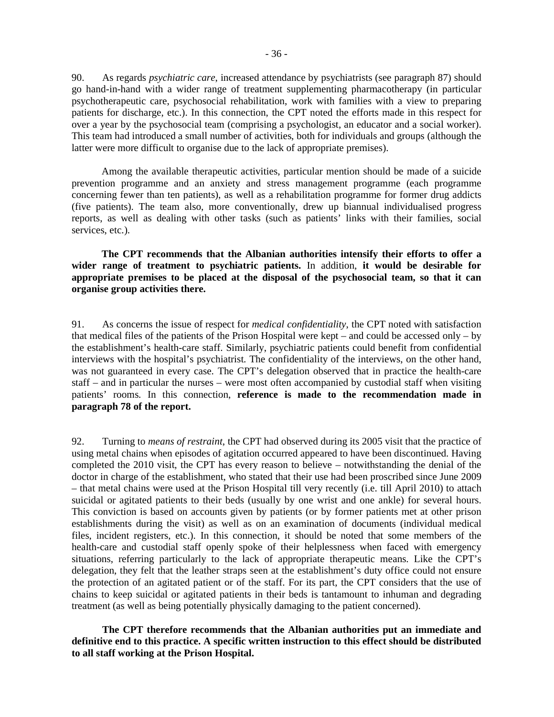90. As regards *psychiatric care*, increased attendance by psychiatrists (see paragraph 87) should go hand-in-hand with a wider range of treatment supplementing pharmacotherapy (in particular psychotherapeutic care, psychosocial rehabilitation, work with families with a view to preparing patients for discharge, etc.). In this connection, the CPT noted the efforts made in this respect for over a year by the psychosocial team (comprising a psychologist, an educator and a social worker). This team had introduced a small number of activities, both for individuals and groups (although the latter were more difficult to organise due to the lack of appropriate premises).

Among the available therapeutic activities, particular mention should be made of a suicide prevention programme and an anxiety and stress management programme (each programme concerning fewer than ten patients), as well as a rehabilitation programme for former drug addicts (five patients). The team also, more conventionally, drew up biannual individualised progress reports, as well as dealing with other tasks (such as patients' links with their families, social services, etc.).

**The CPT recommends that the Albanian authorities intensify their efforts to offer a wider range of treatment to psychiatric patients.** In addition, **it would be desirable for appropriate premises to be placed at the disposal of the psychosocial team, so that it can organise group activities there.** 

91. As concerns the issue of respect for *medical confidentiality*, the CPT noted with satisfaction that medical files of the patients of the Prison Hospital were kept – and could be accessed only – by the establishment's health-care staff. Similarly, psychiatric patients could benefit from confidential interviews with the hospital's psychiatrist. The confidentiality of the interviews, on the other hand, was not guaranteed in every case. The CPT's delegation observed that in practice the health-care staff – and in particular the nurses – were most often accompanied by custodial staff when visiting patients' rooms. In this connection, **reference is made to the recommendation made in paragraph 78 of the report.**

92. Turning to *means of restraint*, the CPT had observed during its 2005 visit that the practice of using metal chains when episodes of agitation occurred appeared to have been discontinued. Having completed the 2010 visit, the CPT has every reason to believe – notwithstanding the denial of the doctor in charge of the establishment, who stated that their use had been proscribed since June 2009 – that metal chains were used at the Prison Hospital till very recently (i.e. till April 2010) to attach suicidal or agitated patients to their beds (usually by one wrist and one ankle) for several hours. This conviction is based on accounts given by patients (or by former patients met at other prison establishments during the visit) as well as on an examination of documents (individual medical files, incident registers, etc.). In this connection, it should be noted that some members of the health-care and custodial staff openly spoke of their helplessness when faced with emergency situations, referring particularly to the lack of appropriate therapeutic means. Like the CPT's delegation, they felt that the leather straps seen at the establishment's duty office could not ensure the protection of an agitated patient or of the staff. For its part, the CPT considers that the use of chains to keep suicidal or agitated patients in their beds is tantamount to inhuman and degrading treatment (as well as being potentially physically damaging to the patient concerned).

**The CPT therefore recommends that the Albanian authorities put an immediate and definitive end to this practice. A specific written instruction to this effect should be distributed to all staff working at the Prison Hospital.**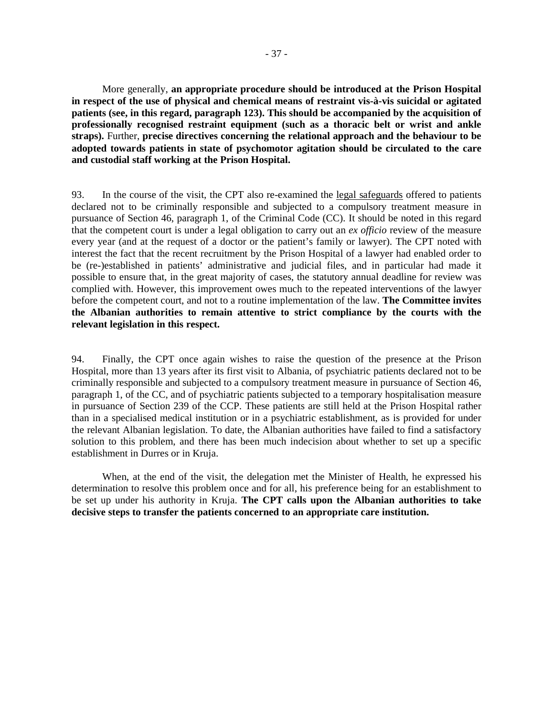More generally, **an appropriate procedure should be introduced at the Prison Hospital in respect of the use of physical and chemical means of restraint vis-à-vis suicidal or agitated patients (see, in this regard, paragraph 123). This should be accompanied by the acquisition of professionally recognised restraint equipment (such as a thoracic belt or wrist and ankle straps).** Further, **precise directives concerning the relational approach and the behaviour to be adopted towards patients in state of psychomotor agitation should be circulated to the care and custodial staff working at the Prison Hospital.**

93. In the course of the visit, the CPT also re-examined the legal safeguards offered to patients declared not to be criminally responsible and subjected to a compulsory treatment measure in pursuance of Section 46, paragraph 1, of the Criminal Code (CC). It should be noted in this regard that the competent court is under a legal obligation to carry out an *ex officio* review of the measure every year (and at the request of a doctor or the patient's family or lawyer). The CPT noted with interest the fact that the recent recruitment by the Prison Hospital of a lawyer had enabled order to be (re-)established in patients' administrative and judicial files, and in particular had made it possible to ensure that, in the great majority of cases, the statutory annual deadline for review was complied with. However, this improvement owes much to the repeated interventions of the lawyer before the competent court, and not to a routine implementation of the law. **The Committee invites the Albanian authorities to remain attentive to strict compliance by the courts with the relevant legislation in this respect.** 

94. Finally, the CPT once again wishes to raise the question of the presence at the Prison Hospital, more than 13 years after its first visit to Albania, of psychiatric patients declared not to be criminally responsible and subjected to a compulsory treatment measure in pursuance of Section 46, paragraph 1, of the CC, and of psychiatric patients subjected to a temporary hospitalisation measure in pursuance of Section 239 of the CCP. These patients are still held at the Prison Hospital rather than in a specialised medical institution or in a psychiatric establishment, as is provided for under the relevant Albanian legislation. To date, the Albanian authorities have failed to find a satisfactory solution to this problem, and there has been much indecision about whether to set up a specific establishment in Durres or in Kruja.

When, at the end of the visit, the delegation met the Minister of Health, he expressed his determination to resolve this problem once and for all, his preference being for an establishment to be set up under his authority in Kruja. **The CPT calls upon the Albanian authorities to take decisive steps to transfer the patients concerned to an appropriate care institution.**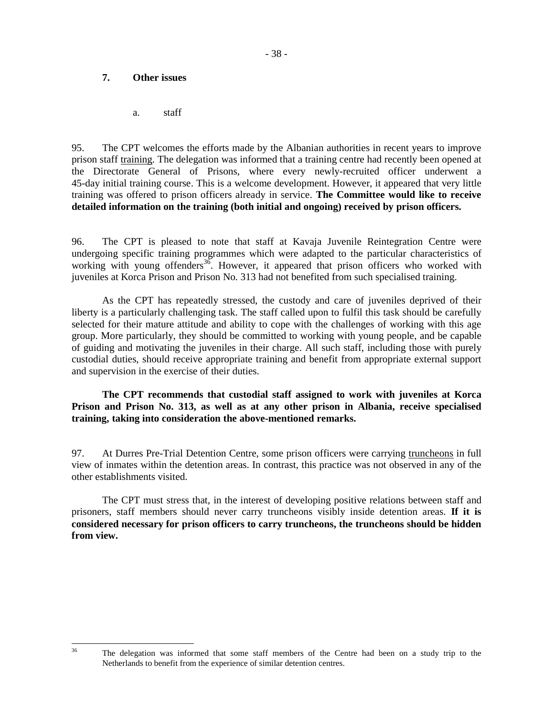### **7. Other issues**

a. staff

95. The CPT welcomes the efforts made by the Albanian authorities in recent years to improve prison staff training. The delegation was informed that a training centre had recently been opened at the Directorate General of Prisons, where every newly-recruited officer underwent a 45-day initial training course. This is a welcome development. However, it appeared that very little training was offered to prison officers already in service. **The Committee would like to receive detailed information on the training (both initial and ongoing) received by prison officers.**

96. The CPT is pleased to note that staff at Kavaja Juvenile Reintegration Centre were undergoing specific training programmes which were adapted to the particular characteristics of working with young offenders<sup>36</sup>. However, it appeared that prison officers who worked with juveniles at Korca Prison and Prison No. 313 had not benefited from such specialised training.

As the CPT has repeatedly stressed, the custody and care of juveniles deprived of their liberty is a particularly challenging task. The staff called upon to fulfil this task should be carefully selected for their mature attitude and ability to cope with the challenges of working with this age group. More particularly, they should be committed to working with young people, and be capable of guiding and motivating the juveniles in their charge. All such staff, including those with purely custodial duties, should receive appropriate training and benefit from appropriate external support and supervision in the exercise of their duties.

**The CPT recommends that custodial staff assigned to work with juveniles at Korca Prison and Prison No. 313, as well as at any other prison in Albania, receive specialised training, taking into consideration the above-mentioned remarks.** 

97. At Durres Pre-Trial Detention Centre, some prison officers were carrying truncheons in full view of inmates within the detention areas. In contrast, this practice was not observed in any of the other establishments visited.

The CPT must stress that, in the interest of developing positive relations between staff and prisoners, staff members should never carry truncheons visibly inside detention areas. **If it is considered necessary for prison officers to carry truncheons, the truncheons should be hidden from view.**

The delegation was informed that some staff members of the Centre had been on a study trip to the Netherlands to benefit from the experience of similar detention centres.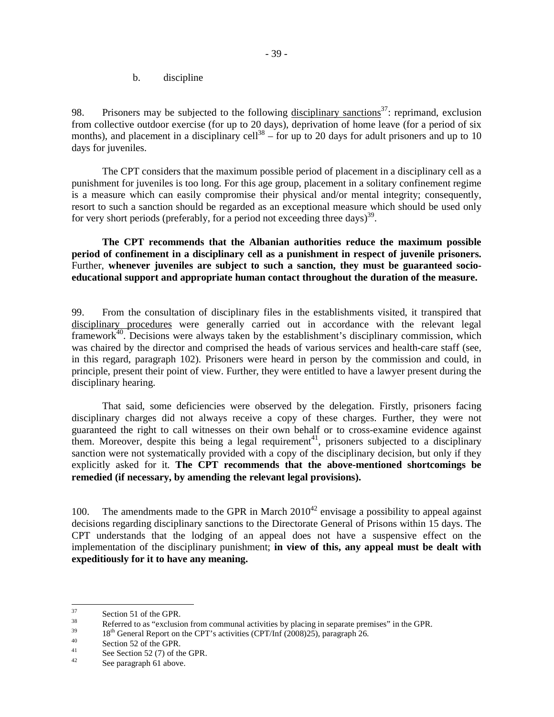b. discipline

98. Prisoners may be subjected to the following disciplinary sanctions<sup>37</sup>: reprimand, exclusion from collective outdoor exercise (for up to 20 days), deprivation of home leave (for a period of six months), and placement in a disciplinary cell<sup>38</sup> – for up to 20 days for adult prisoners and up to 10 days for juveniles.

 The CPT considers that the maximum possible period of placement in a disciplinary cell as a punishment for juveniles is too long. For this age group, placement in a solitary confinement regime is a measure which can easily compromise their physical and/or mental integrity; consequently, resort to such a sanction should be regarded as an exceptional measure which should be used only for very short periods (preferably, for a period not exceeding three days)<sup>39</sup>.

**The CPT recommends that the Albanian authorities reduce the maximum possible period of confinement in a disciplinary cell as a punishment in respect of juvenile prisoners.** Further, **whenever juveniles are subject to such a sanction, they must be guaranteed socioeducational support and appropriate human contact throughout the duration of the measure.**

99. From the consultation of disciplinary files in the establishments visited, it transpired that disciplinary procedures were generally carried out in accordance with the relevant legal framework<sup>40</sup>. Decisions were always taken by the establishment's disciplinary commission, which was chaired by the director and comprised the heads of various services and health-care staff (see, in this regard, paragraph 102). Prisoners were heard in person by the commission and could, in principle, present their point of view. Further, they were entitled to have a lawyer present during the disciplinary hearing.

 That said, some deficiencies were observed by the delegation. Firstly, prisoners facing disciplinary charges did not always receive a copy of these charges. Further, they were not guaranteed the right to call witnesses on their own behalf or to cross-examine evidence against them. Moreover, despite this being a legal requirement<sup>41</sup>, prisoners subjected to a disciplinary sanction were not systematically provided with a copy of the disciplinary decision, but only if they explicitly asked for it. **The CPT recommends that the above-mentioned shortcomings be remedied (if necessary, by amending the relevant legal provisions).**

100. The amendments made to the GPR in March  $2010^{42}$  envisage a possibility to appeal against decisions regarding disciplinary sanctions to the Directorate General of Prisons within 15 days. The CPT understands that the lodging of an appeal does not have a suspensive effect on the implementation of the disciplinary punishment; **in view of this, any appeal must be dealt with expeditiously for it to have any meaning.**

<sup>37</sup>  $\frac{37}{38}$  Section 51 of the GPR.

<sup>38</sup> Referred to as "exclusion from communal activities by placing in separate premises" in the GPR.<br> $10^{\text{th}}$  G wavel Present and the GPT's setting (CDT/of (2009)25) assessment 26

 $18<sup>th</sup>$  General Report on the CPT's activities (CPT/Inf (2008)25), paragraph 26.

 $\frac{40}{41}$  Section 52 of the GPR.

 $^{41}$  See Section 52 (7) of the GPR.

See paragraph 61 above.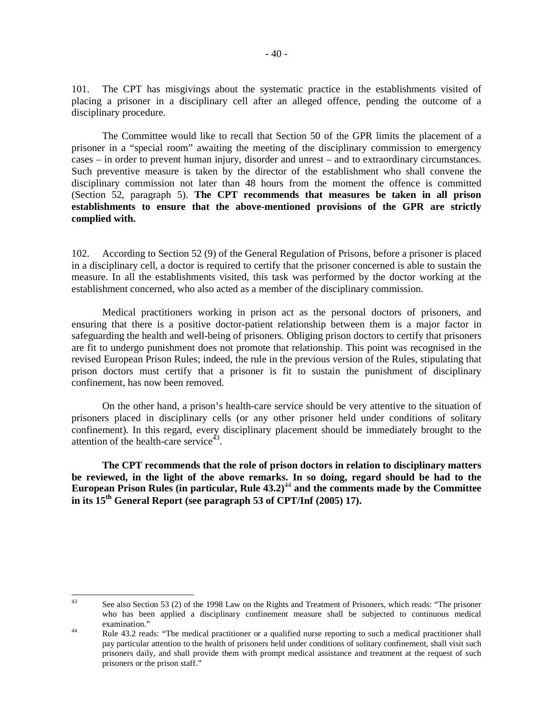101. The CPT has misgivings about the systematic practice in the establishments visited of placing a prisoner in a disciplinary cell after an alleged offence, pending the outcome of a disciplinary procedure.

The Committee would like to recall that Section 50 of the GPR limits the placement of a prisoner in a "special room" awaiting the meeting of the disciplinary commission to emergency cases – in order to prevent human injury, disorder and unrest – and to extraordinary circumstances. Such preventive measure is taken by the director of the establishment who shall convene the disciplinary commission not later than 48 hours from the moment the offence is committed (Section 52, paragraph 5). **The CPT recommends that measures be taken in all prison establishments to ensure that the above-mentioned provisions of the GPR are strictly complied with.**

102. According to Section 52 (9) of the General Regulation of Prisons, before a prisoner is placed in a disciplinary cell, a doctor is required to certify that the prisoner concerned is able to sustain the measure. In all the establishments visited, this task was performed by the doctor working at the establishment concerned, who also acted as a member of the disciplinary commission.

Medical practitioners working in prison act as the personal doctors of prisoners, and ensuring that there is a positive doctor-patient relationship between them is a major factor in safeguarding the health and well-being of prisoners. Obliging prison doctors to certify that prisoners are fit to undergo punishment does not promote that relationship. This point was recognised in the revised European Prison Rules; indeed, the rule in the previous version of the Rules, stipulating that prison doctors must certify that a prisoner is fit to sustain the punishment of disciplinary confinement, has now been removed.

On the other hand, a prison's health-care service should be very attentive to the situation of prisoners placed in disciplinary cells (or any other prisoner held under conditions of solitary confinement). In this regard, every disciplinary placement should be immediately brought to the attention of the health-care service<sup> $43$ </sup>.

**The CPT recommends that the role of prison doctors in relation to disciplinary matters be reviewed, in the light of the above remarks. In so doing, regard should be had to the European Prison Rules (in particular, Rule 43.2)**<sup>44</sup> **and the comments made by the Committee in its 15th General Report (see paragraph 53 of CPT/Inf (2005) 17).**

 $43$ See also Section 53 (2) of the 1998 Law on the Rights and Treatment of Prisoners, which reads: "The prisoner who has been applied a disciplinary confinement measure shall be subjected to continuous medical examination."

<sup>44</sup> Rule 43.2 reads: "The medical practitioner or a qualified nurse reporting to such a medical practitioner shall pay particular attention to the health of prisoners held under conditions of solitary confinement, shall visit such prisoners daily, and shall provide them with prompt medical assistance and treatment at the request of such prisoners or the prison staff."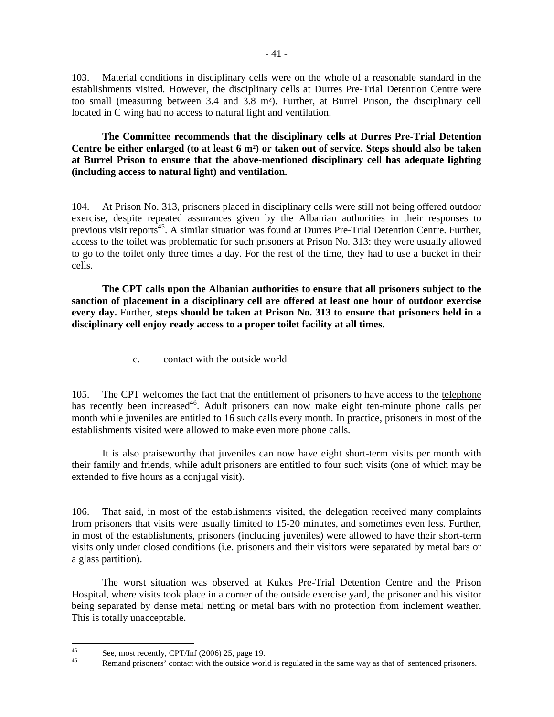103. Material conditions in disciplinary cells were on the whole of a reasonable standard in the establishments visited. However, the disciplinary cells at Durres Pre-Trial Detention Centre were too small (measuring between 3.4 and 3.8 m²). Further, at Burrel Prison, the disciplinary cell located in C wing had no access to natural light and ventilation.

### **The Committee recommends that the disciplinary cells at Durres Pre-Trial Detention Centre be either enlarged (to at least 6 m²) or taken out of service. Steps should also be taken at Burrel Prison to ensure that the above-mentioned disciplinary cell has adequate lighting (including access to natural light) and ventilation.**

104. At Prison No. 313, prisoners placed in disciplinary cells were still not being offered outdoor exercise, despite repeated assurances given by the Albanian authorities in their responses to previous visit reports<sup>45</sup>. A similar situation was found at Durres Pre-Trial Detention Centre. Further, access to the toilet was problematic for such prisoners at Prison No. 313: they were usually allowed to go to the toilet only three times a day. For the rest of the time, they had to use a bucket in their cells.

**The CPT calls upon the Albanian authorities to ensure that all prisoners subject to the sanction of placement in a disciplinary cell are offered at least one hour of outdoor exercise every day.** Further, **steps should be taken at Prison No. 313 to ensure that prisoners held in a disciplinary cell enjoy ready access to a proper toilet facility at all times.**

c. contact with the outside world

105. The CPT welcomes the fact that the entitlement of prisoners to have access to the telephone has recently been increased<sup>46</sup>. Adult prisoners can now make eight ten-minute phone calls per month while juveniles are entitled to 16 such calls every month. In practice, prisoners in most of the establishments visited were allowed to make even more phone calls.

It is also praiseworthy that juveniles can now have eight short-term visits per month with their family and friends, while adult prisoners are entitled to four such visits (one of which may be extended to five hours as a conjugal visit).

106. That said, in most of the establishments visited, the delegation received many complaints from prisoners that visits were usually limited to 15-20 minutes, and sometimes even less. Further, in most of the establishments, prisoners (including juveniles) were allowed to have their short-term visits only under closed conditions (i.e. prisoners and their visitors were separated by metal bars or a glass partition).

The worst situation was observed at Kukes Pre-Trial Detention Centre and the Prison Hospital, where visits took place in a corner of the outside exercise yard, the prisoner and his visitor being separated by dense metal netting or metal bars with no protection from inclement weather. This is totally unacceptable.

 $45$  $\frac{45}{46}$  See, most recently, CPT/Inf (2006) 25, page 19.

Remand prisoners' contact with the outside world is regulated in the same way as that of sentenced prisoners.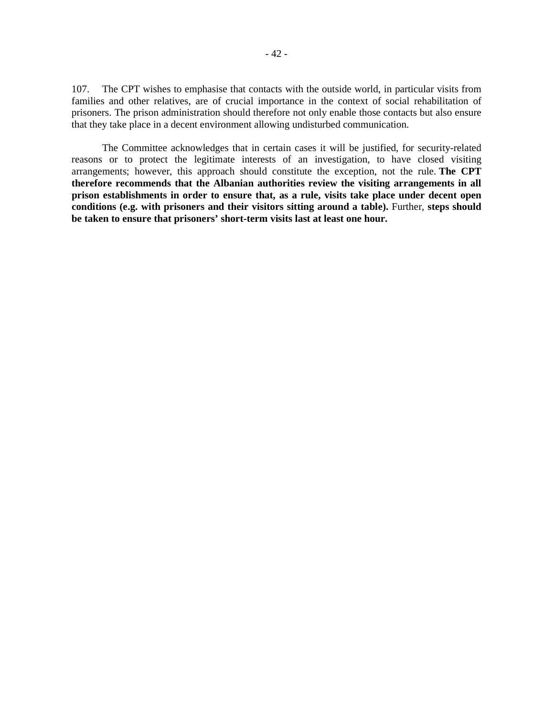107. The CPT wishes to emphasise that contacts with the outside world, in particular visits from families and other relatives, are of crucial importance in the context of social rehabilitation of prisoners. The prison administration should therefore not only enable those contacts but also ensure that they take place in a decent environment allowing undisturbed communication.

The Committee acknowledges that in certain cases it will be justified, for security-related reasons or to protect the legitimate interests of an investigation, to have closed visiting arrangements; however, this approach should constitute the exception, not the rule. **The CPT therefore recommends that the Albanian authorities review the visiting arrangements in all prison establishments in order to ensure that, as a rule, visits take place under decent open conditions (e.g. with prisoners and their visitors sitting around a table).** Further, **steps should be taken to ensure that prisoners' short-term visits last at least one hour.**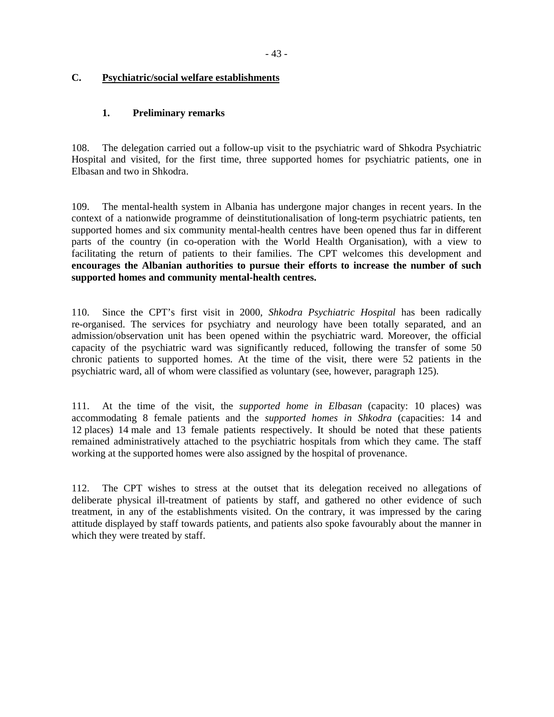## **C. Psychiatric/social welfare establishments**

## **1. Preliminary remarks**

108. The delegation carried out a follow-up visit to the psychiatric ward of Shkodra Psychiatric Hospital and visited, for the first time, three supported homes for psychiatric patients, one in Elbasan and two in Shkodra.

109. The mental-health system in Albania has undergone major changes in recent years. In the context of a nationwide programme of deinstitutionalisation of long-term psychiatric patients, ten supported homes and six community mental-health centres have been opened thus far in different parts of the country (in co-operation with the World Health Organisation), with a view to facilitating the return of patients to their families. The CPT welcomes this development and **encourages the Albanian authorities to pursue their efforts to increase the number of such supported homes and community mental-health centres.**

110. Since the CPT's first visit in 2000, *Shkodra Psychiatric Hospital* has been radically re-organised. The services for psychiatry and neurology have been totally separated, and an admission/observation unit has been opened within the psychiatric ward. Moreover, the official capacity of the psychiatric ward was significantly reduced, following the transfer of some 50 chronic patients to supported homes. At the time of the visit, there were 52 patients in the psychiatric ward, all of whom were classified as voluntary (see, however, paragraph 125).

111. At the time of the visit, the *supported home in Elbasan* (capacity: 10 places) was accommodating 8 female patients and the *supported homes in Shkodra* (capacities: 14 and 12 places) 14 male and 13 female patients respectively. It should be noted that these patients remained administratively attached to the psychiatric hospitals from which they came. The staff working at the supported homes were also assigned by the hospital of provenance.

112. The CPT wishes to stress at the outset that its delegation received no allegations of deliberate physical ill-treatment of patients by staff, and gathered no other evidence of such treatment, in any of the establishments visited. On the contrary, it was impressed by the caring attitude displayed by staff towards patients, and patients also spoke favourably about the manner in which they were treated by staff.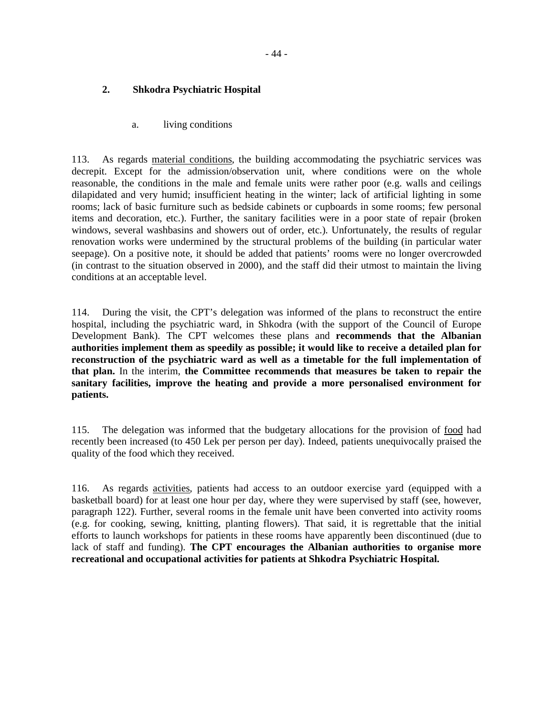## **2. Shkodra Psychiatric Hospital**

a. living conditions

113. As regards material conditions, the building accommodating the psychiatric services was decrepit. Except for the admission/observation unit, where conditions were on the whole reasonable, the conditions in the male and female units were rather poor (e.g. walls and ceilings dilapidated and very humid; insufficient heating in the winter; lack of artificial lighting in some rooms; lack of basic furniture such as bedside cabinets or cupboards in some rooms; few personal items and decoration, etc.). Further, the sanitary facilities were in a poor state of repair (broken windows, several washbasins and showers out of order, etc.). Unfortunately, the results of regular renovation works were undermined by the structural problems of the building (in particular water seepage). On a positive note, it should be added that patients' rooms were no longer overcrowded (in contrast to the situation observed in 2000), and the staff did their utmost to maintain the living conditions at an acceptable level.

114. During the visit, the CPT's delegation was informed of the plans to reconstruct the entire hospital, including the psychiatric ward, in Shkodra (with the support of the Council of Europe Development Bank). The CPT welcomes these plans and **recommends that the Albanian authorities implement them as speedily as possible; it would like to receive a detailed plan for reconstruction of the psychiatric ward as well as a timetable for the full implementation of that plan.** In the interim, **the Committee recommends that measures be taken to repair the sanitary facilities, improve the heating and provide a more personalised environment for patients.** 

115. The delegation was informed that the budgetary allocations for the provision of food had recently been increased (to 450 Lek per person per day). Indeed, patients unequivocally praised the quality of the food which they received.

116. As regards activities, patients had access to an outdoor exercise yard (equipped with a basketball board) for at least one hour per day, where they were supervised by staff (see, however, paragraph 122). Further, several rooms in the female unit have been converted into activity rooms (e.g. for cooking, sewing, knitting, planting flowers). That said, it is regrettable that the initial efforts to launch workshops for patients in these rooms have apparently been discontinued (due to lack of staff and funding). **The CPT encourages the Albanian authorities to organise more recreational and occupational activities for patients at Shkodra Psychiatric Hospital.**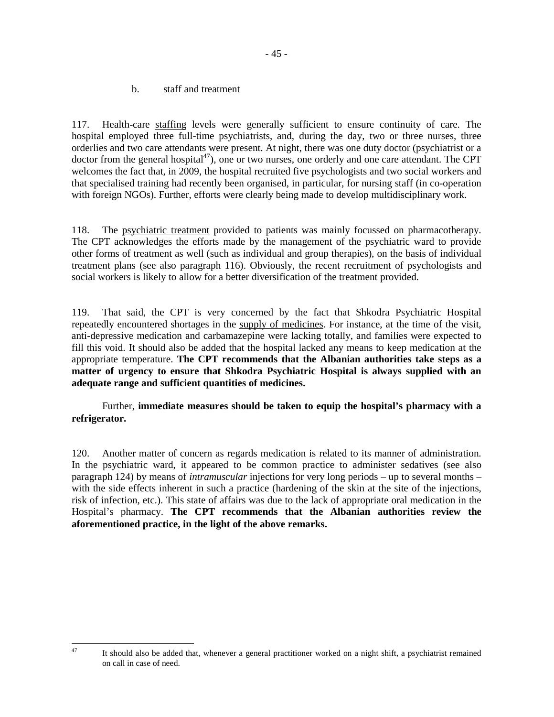b. staff and treatment

117. Health-care staffing levels were generally sufficient to ensure continuity of care. The hospital employed three full-time psychiatrists, and, during the day, two or three nurses, three orderlies and two care attendants were present. At night, there was one duty doctor (psychiatrist or a doctor from the general hospital<sup>47</sup>), one or two nurses, one orderly and one care attendant. The CPT welcomes the fact that, in 2009, the hospital recruited five psychologists and two social workers and that specialised training had recently been organised, in particular, for nursing staff (in co-operation with foreign NGOs). Further, efforts were clearly being made to develop multidisciplinary work.

118. The psychiatric treatment provided to patients was mainly focussed on pharmacotherapy. The CPT acknowledges the efforts made by the management of the psychiatric ward to provide other forms of treatment as well (such as individual and group therapies), on the basis of individual treatment plans (see also paragraph 116). Obviously, the recent recruitment of psychologists and social workers is likely to allow for a better diversification of the treatment provided.

119. That said, the CPT is very concerned by the fact that Shkodra Psychiatric Hospital repeatedly encountered shortages in the supply of medicines. For instance, at the time of the visit, anti-depressive medication and carbamazepine were lacking totally, and families were expected to fill this void. It should also be added that the hospital lacked any means to keep medication at the appropriate temperature. **The CPT recommends that the Albanian authorities take steps as a matter of urgency to ensure that Shkodra Psychiatric Hospital is always supplied with an adequate range and sufficient quantities of medicines.**

Further, **immediate measures should be taken to equip the hospital's pharmacy with a refrigerator.**

120. Another matter of concern as regards medication is related to its manner of administration. In the psychiatric ward, it appeared to be common practice to administer sedatives (see also paragraph 124) by means of *intramuscular* injections for very long periods – up to several months – with the side effects inherent in such a practice (hardening of the skin at the site of the injections, risk of infection, etc.). This state of affairs was due to the lack of appropriate oral medication in the Hospital's pharmacy. **The CPT recommends that the Albanian authorities review the aforementioned practice, in the light of the above remarks.** 

<sup>47</sup> It should also be added that, whenever a general practitioner worked on a night shift, a psychiatrist remained on call in case of need.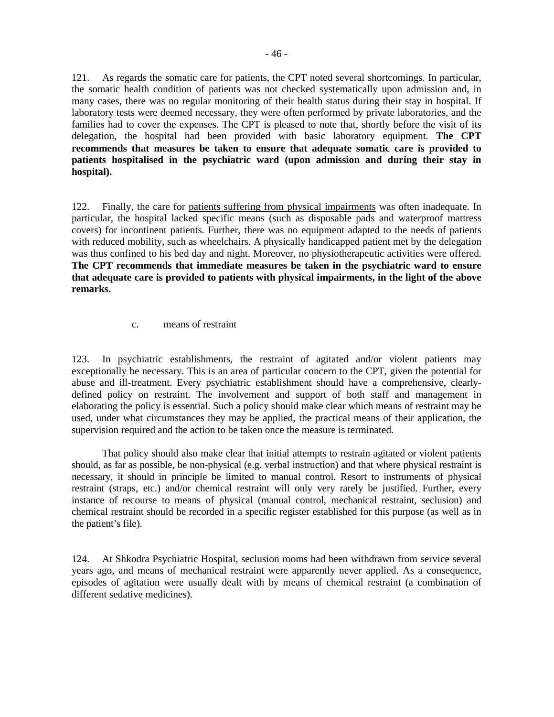121. As regards the somatic care for patients, the CPT noted several shortcomings. In particular, the somatic health condition of patients was not checked systematically upon admission and, in many cases, there was no regular monitoring of their health status during their stay in hospital. If laboratory tests were deemed necessary, they were often performed by private laboratories, and the families had to cover the expenses. The CPT is pleased to note that, shortly before the visit of its delegation, the hospital had been provided with basic laboratory equipment. **The CPT recommends that measures be taken to ensure that adequate somatic care is provided to patients hospitalised in the psychiatric ward (upon admission and during their stay in hospital).** 

122. Finally, the care for patients suffering from physical impairments was often inadequate. In particular, the hospital lacked specific means (such as disposable pads and waterproof mattress covers) for incontinent patients. Further, there was no equipment adapted to the needs of patients with reduced mobility, such as wheelchairs. A physically handicapped patient met by the delegation was thus confined to his bed day and night. Moreover, no physiotherapeutic activities were offered. **The CPT recommends that immediate measures be taken in the psychiatric ward to ensure that adequate care is provided to patients with physical impairments, in the light of the above remarks.** 

c. means of restraint

123. In psychiatric establishments, the restraint of agitated and/or violent patients may exceptionally be necessary. This is an area of particular concern to the CPT, given the potential for abuse and ill-treatment. Every psychiatric establishment should have a comprehensive, clearlydefined policy on restraint. The involvement and support of both staff and management in elaborating the policy is essential. Such a policy should make clear which means of restraint may be used, under what circumstances they may be applied, the practical means of their application, the supervision required and the action to be taken once the measure is terminated.

That policy should also make clear that initial attempts to restrain agitated or violent patients should, as far as possible, be non-physical (e.g. verbal instruction) and that where physical restraint is necessary, it should in principle be limited to manual control. Resort to instruments of physical restraint (straps, etc.) and/or chemical restraint will only very rarely be justified. Further, every instance of recourse to means of physical (manual control, mechanical restraint, seclusion) and chemical restraint should be recorded in a specific register established for this purpose (as well as in the patient's file).

124. At Shkodra Psychiatric Hospital, seclusion rooms had been withdrawn from service several years ago, and means of mechanical restraint were apparently never applied. As a consequence, episodes of agitation were usually dealt with by means of chemical restraint (a combination of different sedative medicines).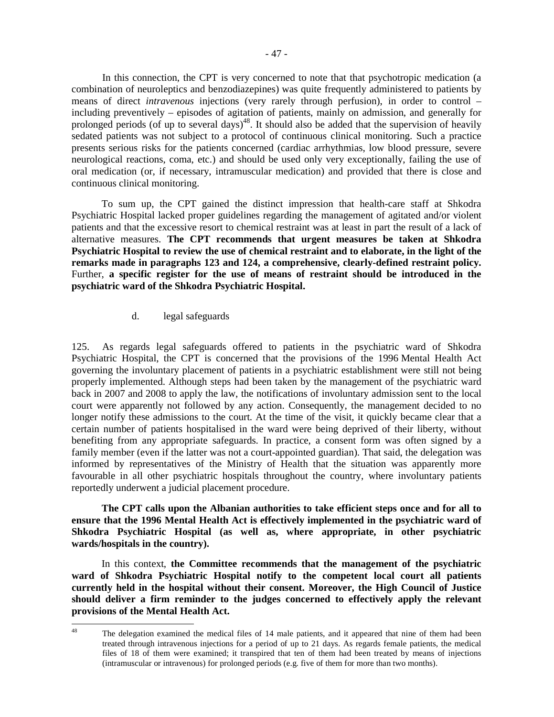In this connection, the CPT is very concerned to note that that psychotropic medication (a combination of neuroleptics and benzodiazepines) was quite frequently administered to patients by means of direct *intravenous* injections (very rarely through perfusion), in order to control – including preventively – episodes of agitation of patients, mainly on admission, and generally for prolonged periods (of up to several days)<sup>48</sup>. It should also be added that the supervision of heavily sedated patients was not subject to a protocol of continuous clinical monitoring. Such a practice presents serious risks for the patients concerned (cardiac arrhythmias, low blood pressure, severe neurological reactions, coma, etc.) and should be used only very exceptionally, failing the use of oral medication (or, if necessary, intramuscular medication) and provided that there is close and continuous clinical monitoring.

To sum up, the CPT gained the distinct impression that health-care staff at Shkodra Psychiatric Hospital lacked proper guidelines regarding the management of agitated and/or violent patients and that the excessive resort to chemical restraint was at least in part the result of a lack of alternative measures. **The CPT recommends that urgent measures be taken at Shkodra Psychiatric Hospital to review the use of chemical restraint and to elaborate, in the light of the remarks made in paragraphs 123 and 124, a comprehensive, clearly-defined restraint policy.**  Further, **a specific register for the use of means of restraint should be introduced in the psychiatric ward of the Shkodra Psychiatric Hospital.** 

#### d. legal safeguards

125. As regards legal safeguards offered to patients in the psychiatric ward of Shkodra Psychiatric Hospital, the CPT is concerned that the provisions of the 1996 Mental Health Act governing the involuntary placement of patients in a psychiatric establishment were still not being properly implemented. Although steps had been taken by the management of the psychiatric ward back in 2007 and 2008 to apply the law, the notifications of involuntary admission sent to the local court were apparently not followed by any action. Consequently, the management decided to no longer notify these admissions to the court. At the time of the visit, it quickly became clear that a certain number of patients hospitalised in the ward were being deprived of their liberty, without benefiting from any appropriate safeguards. In practice, a consent form was often signed by a family member (even if the latter was not a court-appointed guardian). That said, the delegation was informed by representatives of the Ministry of Health that the situation was apparently more favourable in all other psychiatric hospitals throughout the country, where involuntary patients reportedly underwent a judicial placement procedure.

**The CPT calls upon the Albanian authorities to take efficient steps once and for all to ensure that the 1996 Mental Health Act is effectively implemented in the psychiatric ward of Shkodra Psychiatric Hospital (as well as, where appropriate, in other psychiatric wards/hospitals in the country).** 

In this context, **the Committee recommends that the management of the psychiatric ward of Shkodra Psychiatric Hospital notify to the competent local court all patients currently held in the hospital without their consent. Moreover, the High Council of Justice should deliver a firm reminder to the judges concerned to effectively apply the relevant provisions of the Mental Health Act.** 

<sup>48</sup> The delegation examined the medical files of 14 male patients, and it appeared that nine of them had been treated through intravenous injections for a period of up to 21 days. As regards female patients, the medical files of 18 of them were examined; it transpired that ten of them had been treated by means of injections (intramuscular or intravenous) for prolonged periods (e.g. five of them for more than two months).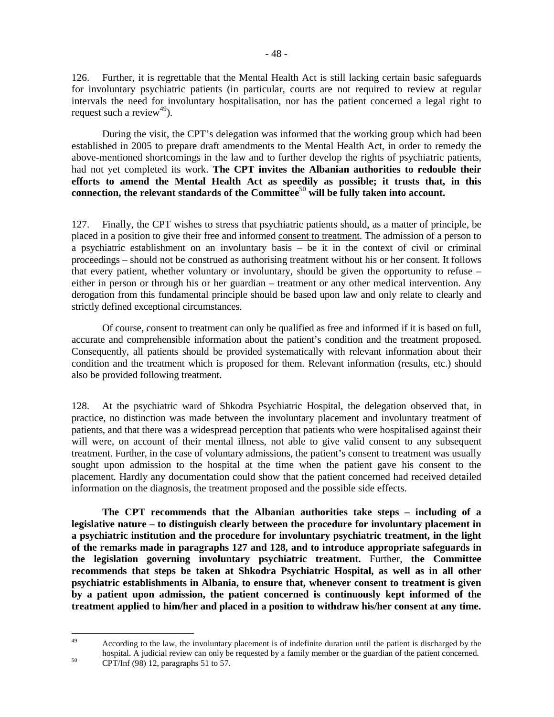126. Further, it is regrettable that the Mental Health Act is still lacking certain basic safeguards for involuntary psychiatric patients (in particular, courts are not required to review at regular intervals the need for involuntary hospitalisation, nor has the patient concerned a legal right to request such a review<sup>49</sup>).

 During the visit, the CPT's delegation was informed that the working group which had been established in 2005 to prepare draft amendments to the Mental Health Act, in order to remedy the above-mentioned shortcomings in the law and to further develop the rights of psychiatric patients, had not yet completed its work. **The CPT invites the Albanian authorities to redouble their efforts to amend the Mental Health Act as speedily as possible; it trusts that, in this connection, the relevant standards of the Committee**<sup>50</sup> **will be fully taken into account.**

127. Finally, the CPT wishes to stress that psychiatric patients should, as a matter of principle, be placed in a position to give their free and informed consent to treatment. The admission of a person to a psychiatric establishment on an involuntary basis – be it in the context of civil or criminal proceedings – should not be construed as authorising treatment without his or her consent. It follows that every patient, whether voluntary or involuntary, should be given the opportunity to refuse – either in person or through his or her guardian – treatment or any other medical intervention. Any derogation from this fundamental principle should be based upon law and only relate to clearly and strictly defined exceptional circumstances.

Of course, consent to treatment can only be qualified as free and informed if it is based on full, accurate and comprehensible information about the patient's condition and the treatment proposed. Consequently, all patients should be provided systematically with relevant information about their condition and the treatment which is proposed for them. Relevant information (results, etc.) should also be provided following treatment.

128. At the psychiatric ward of Shkodra Psychiatric Hospital, the delegation observed that, in practice, no distinction was made between the involuntary placement and involuntary treatment of patients, and that there was a widespread perception that patients who were hospitalised against their will were, on account of their mental illness, not able to give valid consent to any subsequent treatment. Further, in the case of voluntary admissions, the patient's consent to treatment was usually sought upon admission to the hospital at the time when the patient gave his consent to the placement. Hardly any documentation could show that the patient concerned had received detailed information on the diagnosis, the treatment proposed and the possible side effects.

**The CPT recommends that the Albanian authorities take steps – including of a legislative nature – to distinguish clearly between the procedure for involuntary placement in a psychiatric institution and the procedure for involuntary psychiatric treatment, in the light of the remarks made in paragraphs 127 and 128, and to introduce appropriate safeguards in the legislation governing involuntary psychiatric treatment.** Further, **the Committee recommends that steps be taken at Shkodra Psychiatric Hospital, as well as in all other psychiatric establishments in Albania, to ensure that, whenever consent to treatment is given by a patient upon admission, the patient concerned is continuously kept informed of the treatment applied to him/her and placed in a position to withdraw his/her consent at any time.** 

<sup>49</sup> 

<sup>49</sup> According to the law, the involuntary placement is of indefinite duration until the patient is discharged by the hospital. A judicial review can only be requested by a family member or the guardian of the patient concerned.  $50$  CPT/Inf (98) 12, paragraphs 51 to 57.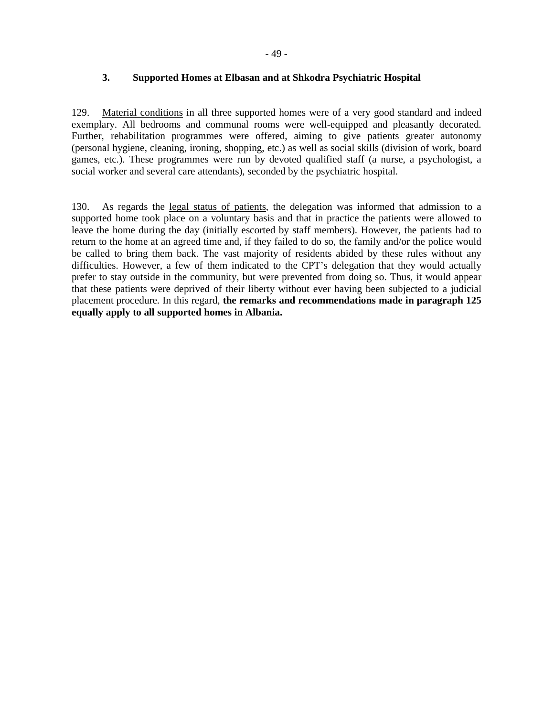### **3. Supported Homes at Elbasan and at Shkodra Psychiatric Hospital**

129. Material conditions in all three supported homes were of a very good standard and indeed exemplary. All bedrooms and communal rooms were well-equipped and pleasantly decorated. Further, rehabilitation programmes were offered, aiming to give patients greater autonomy (personal hygiene, cleaning, ironing, shopping, etc.) as well as social skills (division of work, board games, etc.). These programmes were run by devoted qualified staff (a nurse, a psychologist, a social worker and several care attendants), seconded by the psychiatric hospital.

130. As regards the legal status of patients, the delegation was informed that admission to a supported home took place on a voluntary basis and that in practice the patients were allowed to leave the home during the day (initially escorted by staff members). However, the patients had to return to the home at an agreed time and, if they failed to do so, the family and/or the police would be called to bring them back. The vast majority of residents abided by these rules without any difficulties. However, a few of them indicated to the CPT's delegation that they would actually prefer to stay outside in the community, but were prevented from doing so. Thus, it would appear that these patients were deprived of their liberty without ever having been subjected to a judicial placement procedure. In this regard, **the remarks and recommendations made in paragraph 125 equally apply to all supported homes in Albania.**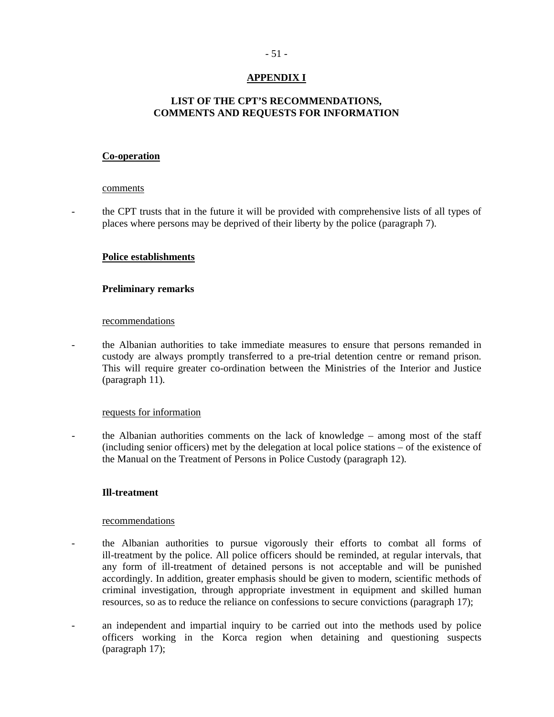## **APPENDIX I**

## **LIST OF THE CPT'S RECOMMENDATIONS, COMMENTS AND REQUESTS FOR INFORMATION**

#### **Co-operation**

#### comments

- the CPT trusts that in the future it will be provided with comprehensive lists of all types of places where persons may be deprived of their liberty by the police (paragraph 7).

#### **Police establishments**

#### **Preliminary remarks**

#### recommendations

- the Albanian authorities to take immediate measures to ensure that persons remanded in custody are always promptly transferred to a pre-trial detention centre or remand prison. This will require greater co-ordination between the Ministries of the Interior and Justice (paragraph 11).

#### requests for information

- the Albanian authorities comments on the lack of knowledge – among most of the staff (including senior officers) met by the delegation at local police stations – of the existence of the Manual on the Treatment of Persons in Police Custody (paragraph 12).

### **Ill-treatment**

#### recommendations

- the Albanian authorities to pursue vigorously their efforts to combat all forms of ill-treatment by the police. All police officers should be reminded, at regular intervals, that any form of ill-treatment of detained persons is not acceptable and will be punished accordingly. In addition, greater emphasis should be given to modern, scientific methods of criminal investigation, through appropriate investment in equipment and skilled human resources, so as to reduce the reliance on confessions to secure convictions (paragraph 17);
- an independent and impartial inquiry to be carried out into the methods used by police officers working in the Korca region when detaining and questioning suspects (paragraph 17);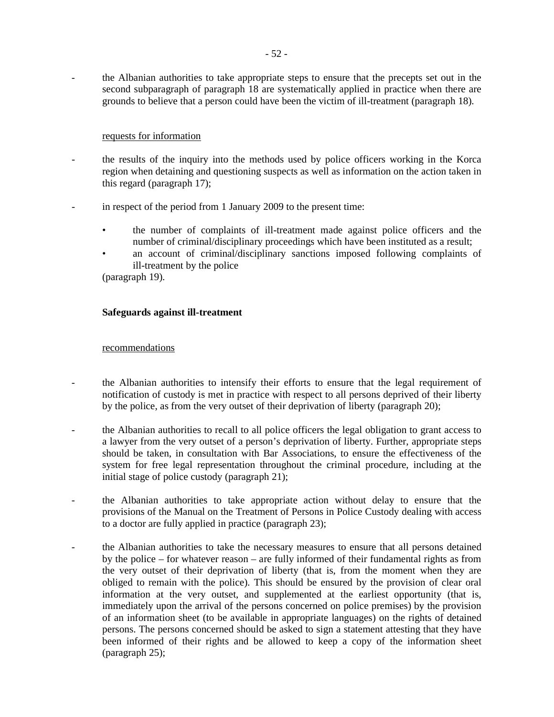- the Albanian authorities to take appropriate steps to ensure that the precepts set out in the second subparagraph of paragraph 18 are systematically applied in practice when there are grounds to believe that a person could have been the victim of ill-treatment (paragraph 18).

### requests for information

- the results of the inquiry into the methods used by police officers working in the Korca region when detaining and questioning suspects as well as information on the action taken in this regard (paragraph 17);
- in respect of the period from 1 January 2009 to the present time:
	- the number of complaints of ill-treatment made against police officers and the number of criminal/disciplinary proceedings which have been instituted as a result;
	- an account of criminal/disciplinary sanctions imposed following complaints of ill-treatment by the police

(paragraph 19).

### **Safeguards against ill-treatment**

### recommendations

- the Albanian authorities to intensify their efforts to ensure that the legal requirement of notification of custody is met in practice with respect to all persons deprived of their liberty by the police, as from the very outset of their deprivation of liberty (paragraph 20);
- the Albanian authorities to recall to all police officers the legal obligation to grant access to a lawyer from the very outset of a person's deprivation of liberty. Further, appropriate steps should be taken, in consultation with Bar Associations, to ensure the effectiveness of the system for free legal representation throughout the criminal procedure, including at the initial stage of police custody (paragraph 21);
- the Albanian authorities to take appropriate action without delay to ensure that the provisions of the Manual on the Treatment of Persons in Police Custody dealing with access to a doctor are fully applied in practice (paragraph 23);
- the Albanian authorities to take the necessary measures to ensure that all persons detained by the police – for whatever reason – are fully informed of their fundamental rights as from the very outset of their deprivation of liberty (that is, from the moment when they are obliged to remain with the police). This should be ensured by the provision of clear oral information at the very outset, and supplemented at the earliest opportunity (that is, immediately upon the arrival of the persons concerned on police premises) by the provision of an information sheet (to be available in appropriate languages) on the rights of detained persons. The persons concerned should be asked to sign a statement attesting that they have been informed of their rights and be allowed to keep a copy of the information sheet (paragraph 25);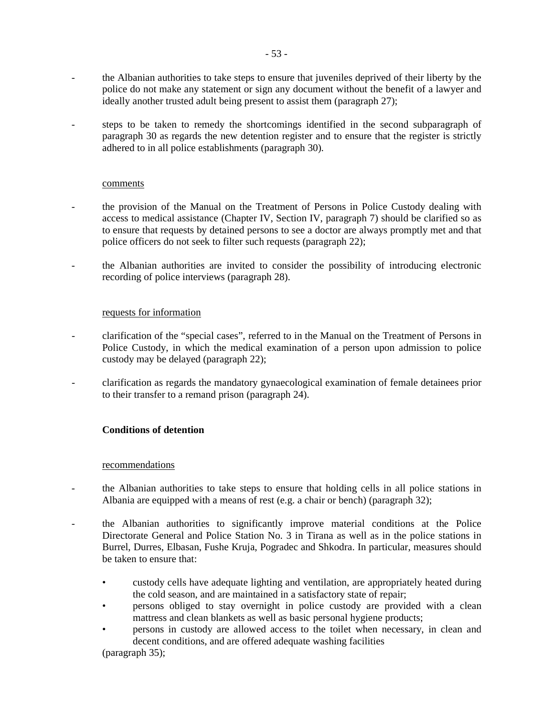- the Albanian authorities to take steps to ensure that juveniles deprived of their liberty by the police do not make any statement or sign any document without the benefit of a lawyer and ideally another trusted adult being present to assist them (paragraph 27);
- steps to be taken to remedy the shortcomings identified in the second subparagraph of paragraph 30 as regards the new detention register and to ensure that the register is strictly adhered to in all police establishments (paragraph 30).

#### comments

- the provision of the Manual on the Treatment of Persons in Police Custody dealing with access to medical assistance (Chapter IV, Section IV, paragraph 7) should be clarified so as to ensure that requests by detained persons to see a doctor are always promptly met and that police officers do not seek to filter such requests (paragraph 22);
- the Albanian authorities are invited to consider the possibility of introducing electronic recording of police interviews (paragraph 28).

### requests for information

- clarification of the "special cases", referred to in the Manual on the Treatment of Persons in Police Custody, in which the medical examination of a person upon admission to police custody may be delayed (paragraph 22);
- clarification as regards the mandatory gynaecological examination of female detainees prior to their transfer to a remand prison (paragraph 24).

### **Conditions of detention**

#### recommendations

- the Albanian authorities to take steps to ensure that holding cells in all police stations in Albania are equipped with a means of rest (e.g. a chair or bench) (paragraph 32);
- the Albanian authorities to significantly improve material conditions at the Police Directorate General and Police Station No. 3 in Tirana as well as in the police stations in Burrel, Durres, Elbasan, Fushe Kruja, Pogradec and Shkodra. In particular, measures should be taken to ensure that:
	- custody cells have adequate lighting and ventilation, are appropriately heated during the cold season, and are maintained in a satisfactory state of repair;
	- persons obliged to stay overnight in police custody are provided with a clean mattress and clean blankets as well as basic personal hygiene products;
	- persons in custody are allowed access to the toilet when necessary, in clean and decent conditions, and are offered adequate washing facilities

(paragraph 35);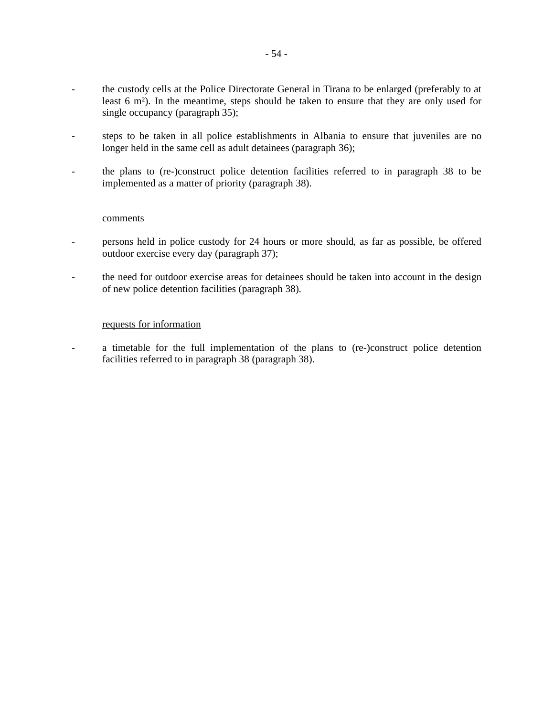- the custody cells at the Police Directorate General in Tirana to be enlarged (preferably to at least 6 m²). In the meantime, steps should be taken to ensure that they are only used for single occupancy (paragraph 35);
- steps to be taken in all police establishments in Albania to ensure that juveniles are no longer held in the same cell as adult detainees (paragraph 36);
- the plans to (re-)construct police detention facilities referred to in paragraph 38 to be implemented as a matter of priority (paragraph 38).

#### comments

- persons held in police custody for 24 hours or more should, as far as possible, be offered outdoor exercise every day (paragraph 37);
- the need for outdoor exercise areas for detainees should be taken into account in the design of new police detention facilities (paragraph 38).

#### requests for information

- a timetable for the full implementation of the plans to (re-)construct police detention facilities referred to in paragraph 38 (paragraph 38).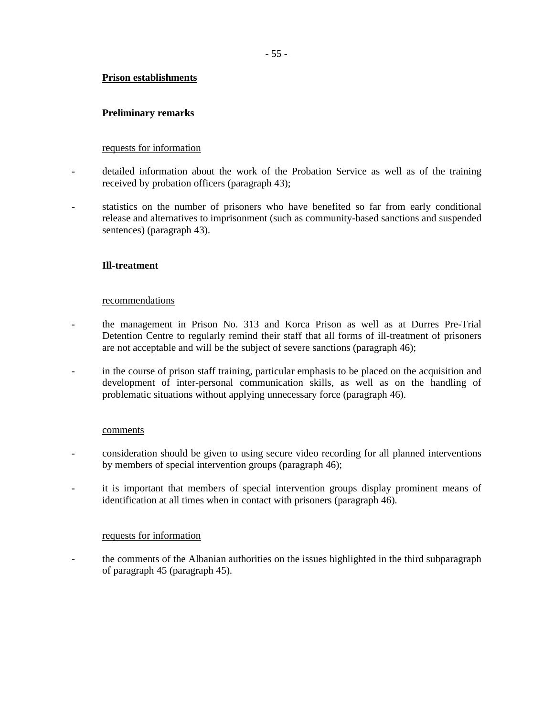### **Prison establishments**

### **Preliminary remarks**

#### requests for information

- detailed information about the work of the Probation Service as well as of the training received by probation officers (paragraph 43);
- statistics on the number of prisoners who have benefited so far from early conditional release and alternatives to imprisonment (such as community-based sanctions and suspended sentences) (paragraph 43).

### **Ill-treatment**

#### recommendations

- the management in Prison No. 313 and Korca Prison as well as at Durres Pre-Trial Detention Centre to regularly remind their staff that all forms of ill-treatment of prisoners are not acceptable and will be the subject of severe sanctions (paragraph 46);
- in the course of prison staff training, particular emphasis to be placed on the acquisition and development of inter-personal communication skills, as well as on the handling of problematic situations without applying unnecessary force (paragraph 46).

#### comments

- consideration should be given to using secure video recording for all planned interventions by members of special intervention groups (paragraph 46);
- it is important that members of special intervention groups display prominent means of identification at all times when in contact with prisoners (paragraph 46).

#### requests for information

- the comments of the Albanian authorities on the issues highlighted in the third subparagraph of paragraph 45 (paragraph 45).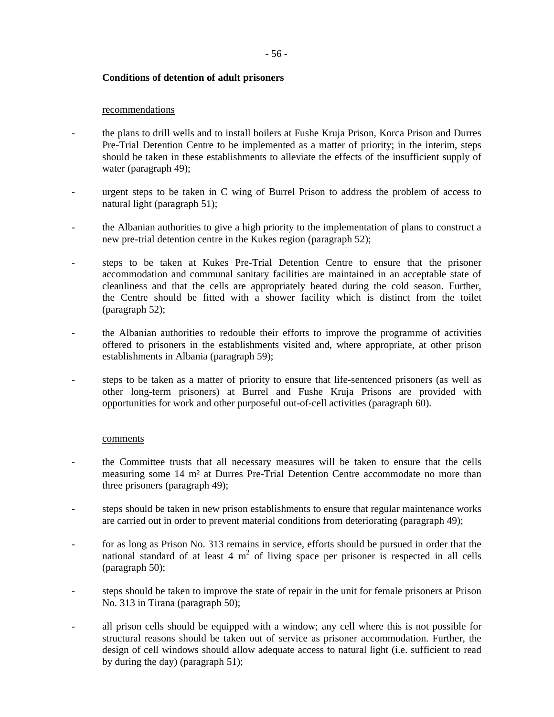### **Conditions of detention of adult prisoners**

#### recommendations

- the plans to drill wells and to install boilers at Fushe Kruja Prison, Korca Prison and Durres Pre-Trial Detention Centre to be implemented as a matter of priority; in the interim, steps should be taken in these establishments to alleviate the effects of the insufficient supply of water (paragraph 49);
- urgent steps to be taken in C wing of Burrel Prison to address the problem of access to natural light (paragraph 51);
- the Albanian authorities to give a high priority to the implementation of plans to construct a new pre-trial detention centre in the Kukes region (paragraph 52);
- steps to be taken at Kukes Pre-Trial Detention Centre to ensure that the prisoner accommodation and communal sanitary facilities are maintained in an acceptable state of cleanliness and that the cells are appropriately heated during the cold season. Further, the Centre should be fitted with a shower facility which is distinct from the toilet (paragraph 52);
- the Albanian authorities to redouble their efforts to improve the programme of activities offered to prisoners in the establishments visited and, where appropriate, at other prison establishments in Albania (paragraph 59);
- steps to be taken as a matter of priority to ensure that life-sentenced prisoners (as well as other long-term prisoners) at Burrel and Fushe Kruja Prisons are provided with opportunities for work and other purposeful out-of-cell activities (paragraph 60).

#### comments

- the Committee trusts that all necessary measures will be taken to ensure that the cells measuring some 14 m² at Durres Pre-Trial Detention Centre accommodate no more than three prisoners (paragraph 49);
- steps should be taken in new prison establishments to ensure that regular maintenance works are carried out in order to prevent material conditions from deteriorating (paragraph 49);
- for as long as Prison No. 313 remains in service, efforts should be pursued in order that the national standard of at least 4  $m<sup>2</sup>$  of living space per prisoner is respected in all cells (paragraph 50);
- steps should be taken to improve the state of repair in the unit for female prisoners at Prison No. 313 in Tirana (paragraph 50);
- all prison cells should be equipped with a window; any cell where this is not possible for structural reasons should be taken out of service as prisoner accommodation. Further, the design of cell windows should allow adequate access to natural light (i.e. sufficient to read by during the day) (paragraph 51);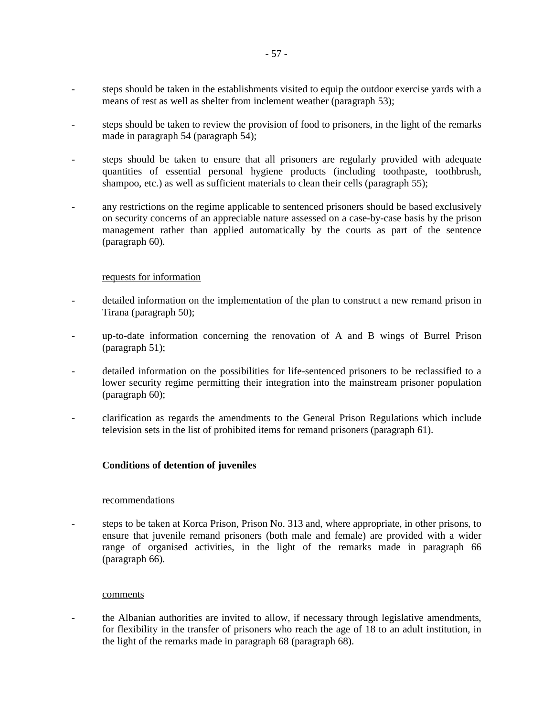- steps should be taken in the establishments visited to equip the outdoor exercise yards with a means of rest as well as shelter from inclement weather (paragraph 53);
- steps should be taken to review the provision of food to prisoners, in the light of the remarks made in paragraph 54 (paragraph 54);
- steps should be taken to ensure that all prisoners are regularly provided with adequate quantities of essential personal hygiene products (including toothpaste, toothbrush, shampoo, etc.) as well as sufficient materials to clean their cells (paragraph 55);
- any restrictions on the regime applicable to sentenced prisoners should be based exclusively on security concerns of an appreciable nature assessed on a case-by-case basis by the prison management rather than applied automatically by the courts as part of the sentence (paragraph 60).

#### requests for information

- detailed information on the implementation of the plan to construct a new remand prison in Tirana (paragraph 50);
- up-to-date information concerning the renovation of A and B wings of Burrel Prison (paragraph 51);
- detailed information on the possibilities for life-sentenced prisoners to be reclassified to a lower security regime permitting their integration into the mainstream prisoner population (paragraph 60);
- clarification as regards the amendments to the General Prison Regulations which include television sets in the list of prohibited items for remand prisoners (paragraph 61).

### **Conditions of detention of juveniles**

#### recommendations

- steps to be taken at Korca Prison, Prison No. 313 and, where appropriate, in other prisons, to ensure that juvenile remand prisoners (both male and female) are provided with a wider range of organised activities, in the light of the remarks made in paragraph 66 (paragraph 66).

#### comments

- the Albanian authorities are invited to allow, if necessary through legislative amendments, for flexibility in the transfer of prisoners who reach the age of 18 to an adult institution, in the light of the remarks made in paragraph 68 (paragraph 68).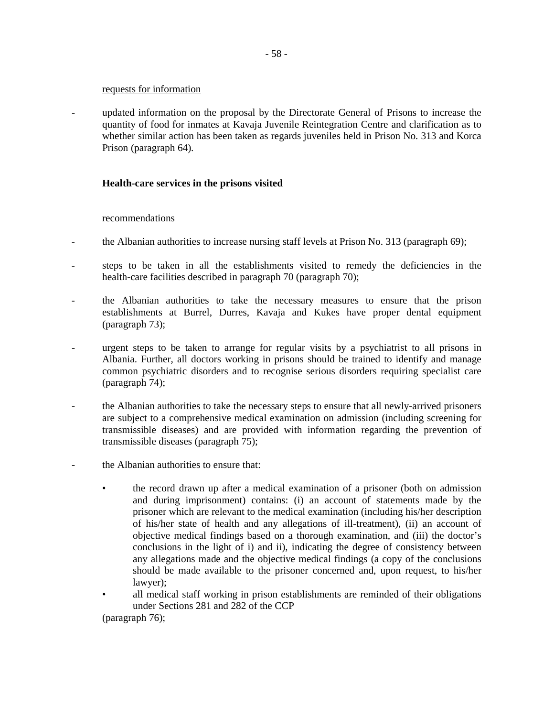#### requests for information

- updated information on the proposal by the Directorate General of Prisons to increase the quantity of food for inmates at Kavaja Juvenile Reintegration Centre and clarification as to whether similar action has been taken as regards juveniles held in Prison No. 313 and Korca Prison (paragraph 64).

#### **Health-care services in the prisons visited**

#### recommendations

- the Albanian authorities to increase nursing staff levels at Prison No. 313 (paragraph 69);
- steps to be taken in all the establishments visited to remedy the deficiencies in the health-care facilities described in paragraph 70 (paragraph 70);
- the Albanian authorities to take the necessary measures to ensure that the prison establishments at Burrel, Durres, Kavaja and Kukes have proper dental equipment (paragraph 73);
- urgent steps to be taken to arrange for regular visits by a psychiatrist to all prisons in Albania. Further, all doctors working in prisons should be trained to identify and manage common psychiatric disorders and to recognise serious disorders requiring specialist care (paragraph 74);
- the Albanian authorities to take the necessary steps to ensure that all newly-arrived prisoners are subject to a comprehensive medical examination on admission (including screening for transmissible diseases) and are provided with information regarding the prevention of transmissible diseases (paragraph 75);
- the Albanian authorities to ensure that:
	- the record drawn up after a medical examination of a prisoner (both on admission and during imprisonment) contains: (i) an account of statements made by the prisoner which are relevant to the medical examination (including his/her description of his/her state of health and any allegations of ill-treatment), (ii) an account of objective medical findings based on a thorough examination, and (iii) the doctor's conclusions in the light of i) and ii), indicating the degree of consistency between any allegations made and the objective medical findings (a copy of the conclusions should be made available to the prisoner concerned and, upon request, to his/her lawyer);
	- all medical staff working in prison establishments are reminded of their obligations under Sections 281 and 282 of the CCP

(paragraph 76);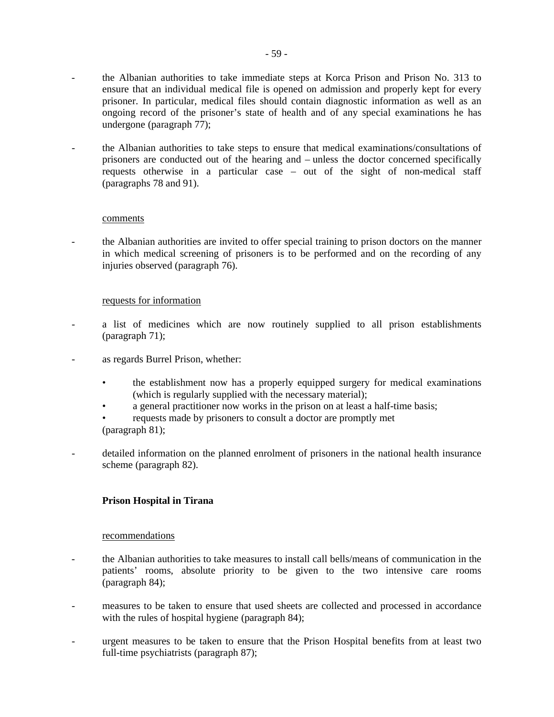- the Albanian authorities to take immediate steps at Korca Prison and Prison No. 313 to ensure that an individual medical file is opened on admission and properly kept for every prisoner. In particular, medical files should contain diagnostic information as well as an ongoing record of the prisoner's state of health and of any special examinations he has undergone (paragraph 77);
- the Albanian authorities to take steps to ensure that medical examinations/consultations of prisoners are conducted out of the hearing and – unless the doctor concerned specifically requests otherwise in a particular case – out of the sight of non-medical staff (paragraphs 78 and 91).

### comments

- the Albanian authorities are invited to offer special training to prison doctors on the manner in which medical screening of prisoners is to be performed and on the recording of any injuries observed (paragraph 76).

### requests for information

- a list of medicines which are now routinely supplied to all prison establishments (paragraph 71);
- as regards Burrel Prison, whether:
	- the establishment now has a properly equipped surgery for medical examinations (which is regularly supplied with the necessary material);
	- a general practitioner now works in the prison on at least a half-time basis;
	- requests made by prisoners to consult a doctor are promptly met (paragraph 81);
- detailed information on the planned enrolment of prisoners in the national health insurance scheme (paragraph 82).

## **Prison Hospital in Tirana**

### recommendations

- the Albanian authorities to take measures to install call bells/means of communication in the patients' rooms, absolute priority to be given to the two intensive care rooms (paragraph 84);
- measures to be taken to ensure that used sheets are collected and processed in accordance with the rules of hospital hygiene (paragraph 84);
- urgent measures to be taken to ensure that the Prison Hospital benefits from at least two full-time psychiatrists (paragraph 87);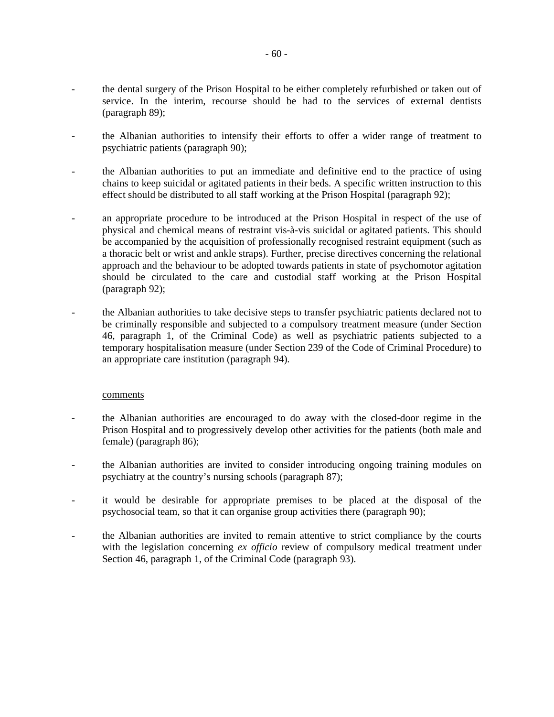- the dental surgery of the Prison Hospital to be either completely refurbished or taken out of service. In the interim, recourse should be had to the services of external dentists (paragraph 89);
- the Albanian authorities to intensify their efforts to offer a wider range of treatment to psychiatric patients (paragraph 90);
- the Albanian authorities to put an immediate and definitive end to the practice of using chains to keep suicidal or agitated patients in their beds. A specific written instruction to this effect should be distributed to all staff working at the Prison Hospital (paragraph 92);
- an appropriate procedure to be introduced at the Prison Hospital in respect of the use of physical and chemical means of restraint vis-à-vis suicidal or agitated patients. This should be accompanied by the acquisition of professionally recognised restraint equipment (such as a thoracic belt or wrist and ankle straps). Further, precise directives concerning the relational approach and the behaviour to be adopted towards patients in state of psychomotor agitation should be circulated to the care and custodial staff working at the Prison Hospital (paragraph 92);
- the Albanian authorities to take decisive steps to transfer psychiatric patients declared not to be criminally responsible and subjected to a compulsory treatment measure (under Section 46, paragraph 1, of the Criminal Code) as well as psychiatric patients subjected to a temporary hospitalisation measure (under Section 239 of the Code of Criminal Procedure) to an appropriate care institution (paragraph 94).

#### comments

- the Albanian authorities are encouraged to do away with the closed-door regime in the Prison Hospital and to progressively develop other activities for the patients (both male and female) (paragraph 86);
- the Albanian authorities are invited to consider introducing ongoing training modules on psychiatry at the country's nursing schools (paragraph 87);
- it would be desirable for appropriate premises to be placed at the disposal of the psychosocial team, so that it can organise group activities there (paragraph 90);
- the Albanian authorities are invited to remain attentive to strict compliance by the courts with the legislation concerning *ex officio* review of compulsory medical treatment under Section 46, paragraph 1, of the Criminal Code (paragraph 93).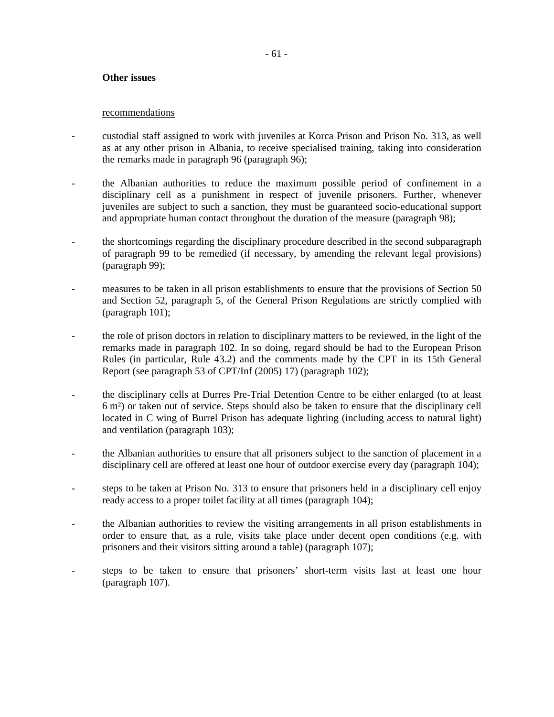#### **Other issues**

#### recommendations

- custodial staff assigned to work with juveniles at Korca Prison and Prison No. 313, as well as at any other prison in Albania, to receive specialised training, taking into consideration the remarks made in paragraph 96 (paragraph 96);
- the Albanian authorities to reduce the maximum possible period of confinement in a disciplinary cell as a punishment in respect of juvenile prisoners. Further, whenever juveniles are subject to such a sanction, they must be guaranteed socio-educational support and appropriate human contact throughout the duration of the measure (paragraph 98);
- the shortcomings regarding the disciplinary procedure described in the second subparagraph of paragraph 99 to be remedied (if necessary, by amending the relevant legal provisions) (paragraph 99);
- measures to be taken in all prison establishments to ensure that the provisions of Section 50 and Section 52, paragraph 5, of the General Prison Regulations are strictly complied with (paragraph 101);
- the role of prison doctors in relation to disciplinary matters to be reviewed, in the light of the remarks made in paragraph 102. In so doing, regard should be had to the European Prison Rules (in particular, Rule 43.2) and the comments made by the CPT in its 15th General Report (see paragraph 53 of CPT/Inf (2005) 17) (paragraph 102);
- the disciplinary cells at Durres Pre-Trial Detention Centre to be either enlarged (to at least 6 m²) or taken out of service. Steps should also be taken to ensure that the disciplinary cell located in C wing of Burrel Prison has adequate lighting (including access to natural light) and ventilation (paragraph 103);
- the Albanian authorities to ensure that all prisoners subject to the sanction of placement in a disciplinary cell are offered at least one hour of outdoor exercise every day (paragraph 104);
- steps to be taken at Prison No. 313 to ensure that prisoners held in a disciplinary cell enjoy ready access to a proper toilet facility at all times (paragraph 104);
- the Albanian authorities to review the visiting arrangements in all prison establishments in order to ensure that, as a rule, visits take place under decent open conditions (e.g. with prisoners and their visitors sitting around a table) (paragraph 107);
- steps to be taken to ensure that prisoners' short-term visits last at least one hour (paragraph 107).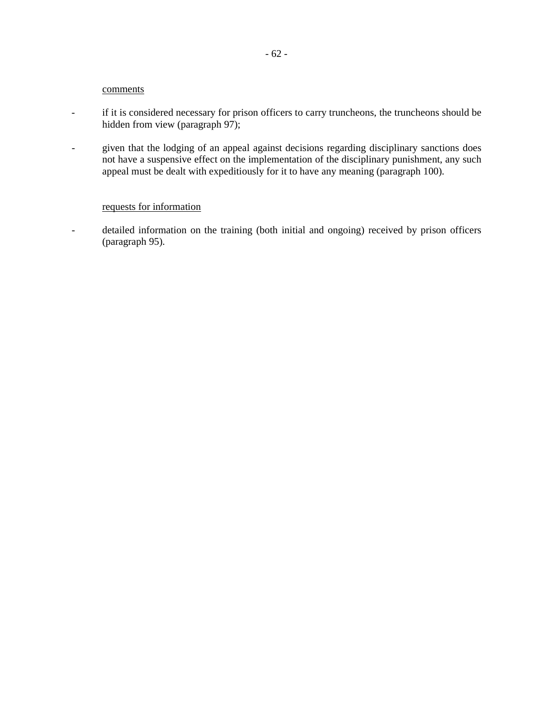### comments

- if it is considered necessary for prison officers to carry truncheons, the truncheons should be hidden from view (paragraph 97);
- given that the lodging of an appeal against decisions regarding disciplinary sanctions does not have a suspensive effect on the implementation of the disciplinary punishment, any such appeal must be dealt with expeditiously for it to have any meaning (paragraph 100).

#### requests for information

- detailed information on the training (both initial and ongoing) received by prison officers (paragraph 95).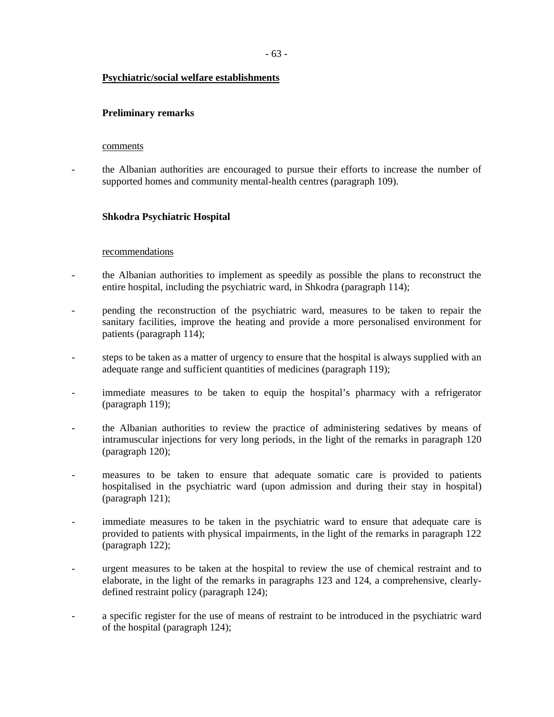### **Psychiatric/social welfare establishments**

### **Preliminary remarks**

#### comments

- the Albanian authorities are encouraged to pursue their efforts to increase the number of supported homes and community mental-health centres (paragraph 109).

### **Shkodra Psychiatric Hospital**

#### recommendations

- the Albanian authorities to implement as speedily as possible the plans to reconstruct the entire hospital, including the psychiatric ward, in Shkodra (paragraph 114);
- pending the reconstruction of the psychiatric ward, measures to be taken to repair the sanitary facilities, improve the heating and provide a more personalised environment for patients (paragraph 114);
- steps to be taken as a matter of urgency to ensure that the hospital is always supplied with an adequate range and sufficient quantities of medicines (paragraph 119);
- immediate measures to be taken to equip the hospital's pharmacy with a refrigerator (paragraph 119);
- the Albanian authorities to review the practice of administering sedatives by means of intramuscular injections for very long periods, in the light of the remarks in paragraph 120 (paragraph 120);
- measures to be taken to ensure that adequate somatic care is provided to patients hospitalised in the psychiatric ward (upon admission and during their stay in hospital) (paragraph 121);
- immediate measures to be taken in the psychiatric ward to ensure that adequate care is provided to patients with physical impairments, in the light of the remarks in paragraph 122 (paragraph 122);
- urgent measures to be taken at the hospital to review the use of chemical restraint and to elaborate, in the light of the remarks in paragraphs 123 and 124, a comprehensive, clearlydefined restraint policy (paragraph 124);
- a specific register for the use of means of restraint to be introduced in the psychiatric ward of the hospital (paragraph 124);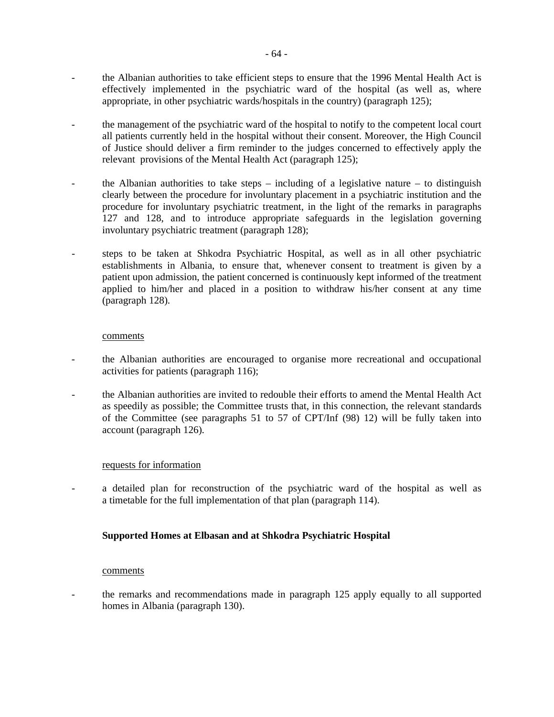- the Albanian authorities to take efficient steps to ensure that the 1996 Mental Health Act is effectively implemented in the psychiatric ward of the hospital (as well as, where appropriate, in other psychiatric wards/hospitals in the country) (paragraph 125);
- the management of the psychiatric ward of the hospital to notify to the competent local court all patients currently held in the hospital without their consent. Moreover, the High Council of Justice should deliver a firm reminder to the judges concerned to effectively apply the relevant provisions of the Mental Health Act (paragraph 125);
- the Albanian authorities to take steps including of a legislative nature to distinguish clearly between the procedure for involuntary placement in a psychiatric institution and the procedure for involuntary psychiatric treatment, in the light of the remarks in paragraphs 127 and 128, and to introduce appropriate safeguards in the legislation governing involuntary psychiatric treatment (paragraph 128);
- steps to be taken at Shkodra Psychiatric Hospital, as well as in all other psychiatric establishments in Albania, to ensure that, whenever consent to treatment is given by a patient upon admission, the patient concerned is continuously kept informed of the treatment applied to him/her and placed in a position to withdraw his/her consent at any time (paragraph 128).

#### comments

- the Albanian authorities are encouraged to organise more recreational and occupational activities for patients (paragraph 116);
- the Albanian authorities are invited to redouble their efforts to amend the Mental Health Act as speedily as possible; the Committee trusts that, in this connection, the relevant standards of the Committee (see paragraphs 51 to 57 of CPT/Inf (98) 12) will be fully taken into account (paragraph 126).

#### requests for information

a detailed plan for reconstruction of the psychiatric ward of the hospital as well as a timetable for the full implementation of that plan (paragraph 114).

#### **Supported Homes at Elbasan and at Shkodra Psychiatric Hospital**

#### comments

- the remarks and recommendations made in paragraph 125 apply equally to all supported homes in Albania (paragraph 130).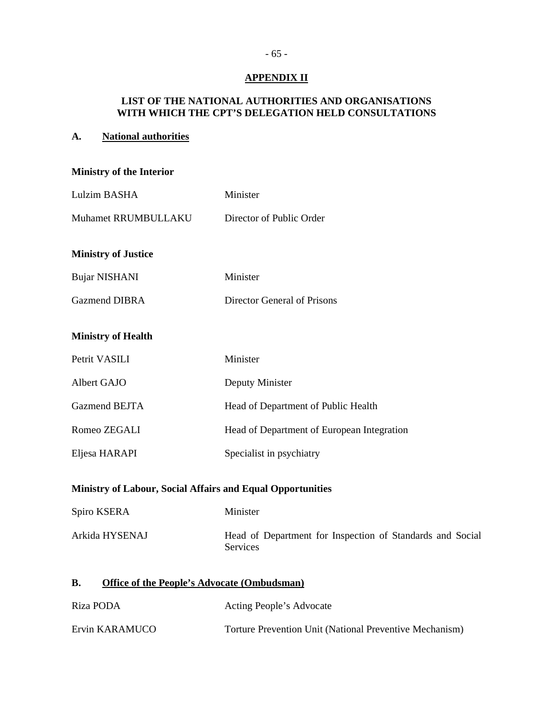## **APPENDIX II**

## **LIST OF THE NATIONAL AUTHORITIES AND ORGANISATIONS WITH WHICH THE CPT'S DELEGATION HELD CONSULTATIONS**

## **A. National authorities**

| <b>Ministry of the Interior</b>                                 |                                                                              |  |  |  |  |  |
|-----------------------------------------------------------------|------------------------------------------------------------------------------|--|--|--|--|--|
| Lulzim BASHA                                                    | Minister                                                                     |  |  |  |  |  |
| Muhamet RRUMBULLAKU                                             | Director of Public Order                                                     |  |  |  |  |  |
| <b>Ministry of Justice</b>                                      |                                                                              |  |  |  |  |  |
| <b>Bujar NISHANI</b>                                            | Minister                                                                     |  |  |  |  |  |
| <b>Gazmend DIBRA</b>                                            | Director General of Prisons                                                  |  |  |  |  |  |
| <b>Ministry of Health</b>                                       |                                                                              |  |  |  |  |  |
| Petrit VASILI                                                   | Minister                                                                     |  |  |  |  |  |
| Albert GAJO                                                     | Deputy Minister                                                              |  |  |  |  |  |
| <b>Gazmend BEJTA</b>                                            | Head of Department of Public Health                                          |  |  |  |  |  |
| Romeo ZEGALI                                                    | Head of Department of European Integration                                   |  |  |  |  |  |
| Eljesa HARAPI                                                   | Specialist in psychiatry                                                     |  |  |  |  |  |
| Ministry of Labour, Social Affairs and Equal Opportunities      |                                                                              |  |  |  |  |  |
| Spiro KSERA                                                     | Minister                                                                     |  |  |  |  |  |
| Arkida HYSENAJ                                                  | Head of Department for Inspection of Standards and Social<br><b>Services</b> |  |  |  |  |  |
| <b>Office of the People's Advocate (Ombudsman)</b><br><b>B.</b> |                                                                              |  |  |  |  |  |
| $\mathbf{D}$ i <sub>ze</sub> $\mathbf{D}\cap\mathbf{D}\Lambda$  | Acting Deaple's Advance                                                      |  |  |  |  |  |

| Riza PODA      | Acting People's Advocate                                |
|----------------|---------------------------------------------------------|
| Ervin KARAMUCO | Torture Prevention Unit (National Preventive Mechanism) |